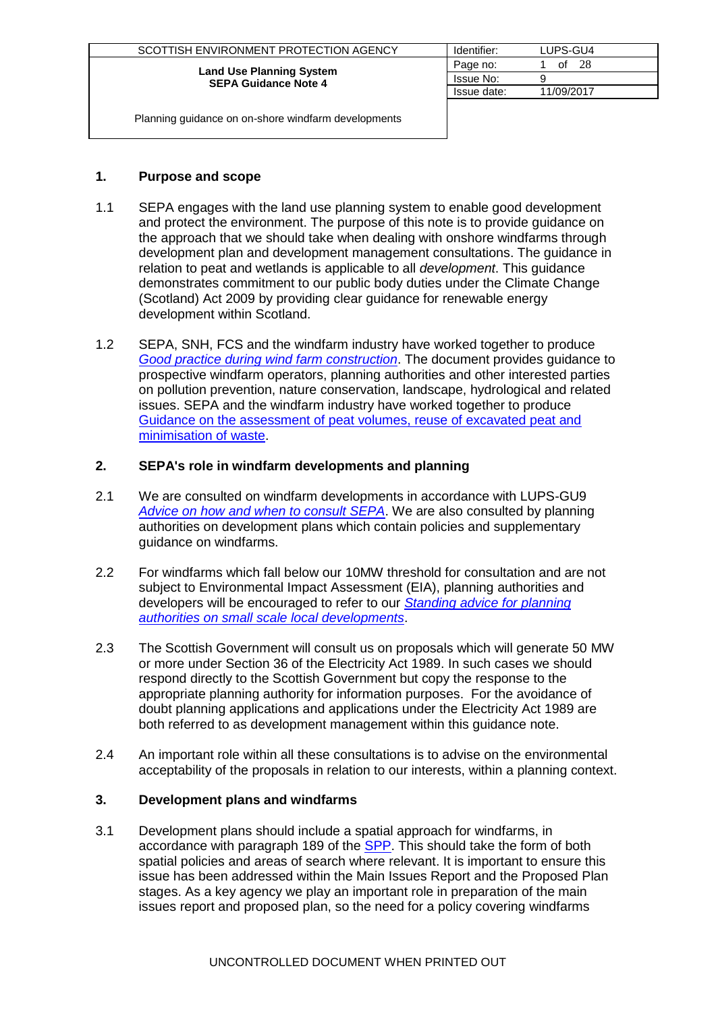| SCOTTISH ENVIRONMENT PROTECTION AGENCY                         | Identifier: | LUPS-GU4   |
|----------------------------------------------------------------|-------------|------------|
|                                                                | Page no:    | 28<br>οt   |
| <b>Land Use Planning System</b><br><b>SEPA Guidance Note 4</b> | Issue No:   |            |
|                                                                | Issue date: | 11/09/2017 |
|                                                                |             |            |

### **1. Purpose and scope**

- 1.1 SEPA engages with the land use planning system to enable good development and protect the environment. The purpose of this note is to provide guidance on the approach that we should take when dealing with onshore windfarms through development plan and development management consultations. The guidance in relation to peat and wetlands is applicable to all *development*. This guidance demonstrates commitment to our public body duties under the Climate Change (Scotland) Act 2009 by providing clear guidance for renewable energy development within Scotland.
- 1.2 SEPA, SNH, FCS and the windfarm industry have worked together to produce *[Good practice during wind farm construction](http://www.snh.org.uk/pdfs/strategy/renewables/Good%20practice%20during%20windfarm%20construction.pdf)*. The document provides guidance to prospective windfarm operators, planning authorities and other interested parties on pollution prevention, nature conservation, landscape, hydrological and related issues. SEPA and the windfarm industry have worked together to produce [Guidance on the assessment of peat volumes, reuse of excavated peat and](http://www.scottishrenewables.com/publications/guidance-assessment-peat-volumes-reuse-excavated/)  [minimisation of waste.](http://www.scottishrenewables.com/publications/guidance-assessment-peat-volumes-reuse-excavated/)

# **2. SEPA's role in windfarm developments and planning**

- 2.1 We are consulted on windfarm developments in accordance with LUPS-GU9 *[Advice on how and when to consult SEPA](http://www.sepa.org.uk/customer_information/idoc.ashx?docid=55a92a07-60eb-403c-9d73-ac80f5e61b88&version=-1)*. We are also consulted by planning authorities on development plans which contain policies and supplementary guidance on windfarms.
- 2.2 For windfarms which fall below our 10MW threshold for consultation and are not subject to Environmental Impact Assessment (EIA), planning authorities and developers will be encouraged to refer to our *[Standing advice for planning](http://www.sepa.org.uk/customer_information/idoc.ashx?docid=cb5c28e9-eefd-44e3-9803-8a56f32b28c6&version=-1)  [authorities on small scale local developments](http://www.sepa.org.uk/customer_information/idoc.ashx?docid=cb5c28e9-eefd-44e3-9803-8a56f32b28c6&version=-1)*.
- 2.3 The Scottish Government will consult us on proposals which will generate 50 MW or more under Section 36 of the Electricity Act 1989. In such cases we should respond directly to the Scottish Government but copy the response to the appropriate planning authority for information purposes. For the avoidance of doubt planning applications and applications under the Electricity Act 1989 are both referred to as development management within this guidance note.
- 2.4 An important role within all these consultations is to advise on the environmental acceptability of the proposals in relation to our interests, within a planning context.

# **3. Development plans and windfarms**

3.1 Development plans should include a spatial approach for windfarms, in accordance with paragraph 189 of the [SPP.](http://www.scotland.gov.uk/Resource/Doc/300760/0093908.pdf) This should take the form of both spatial policies and areas of search where relevant. It is important to ensure this issue has been addressed within the Main Issues Report and the Proposed Plan stages. As a key agency we play an important role in preparation of the main issues report and proposed plan, so the need for a policy covering windfarms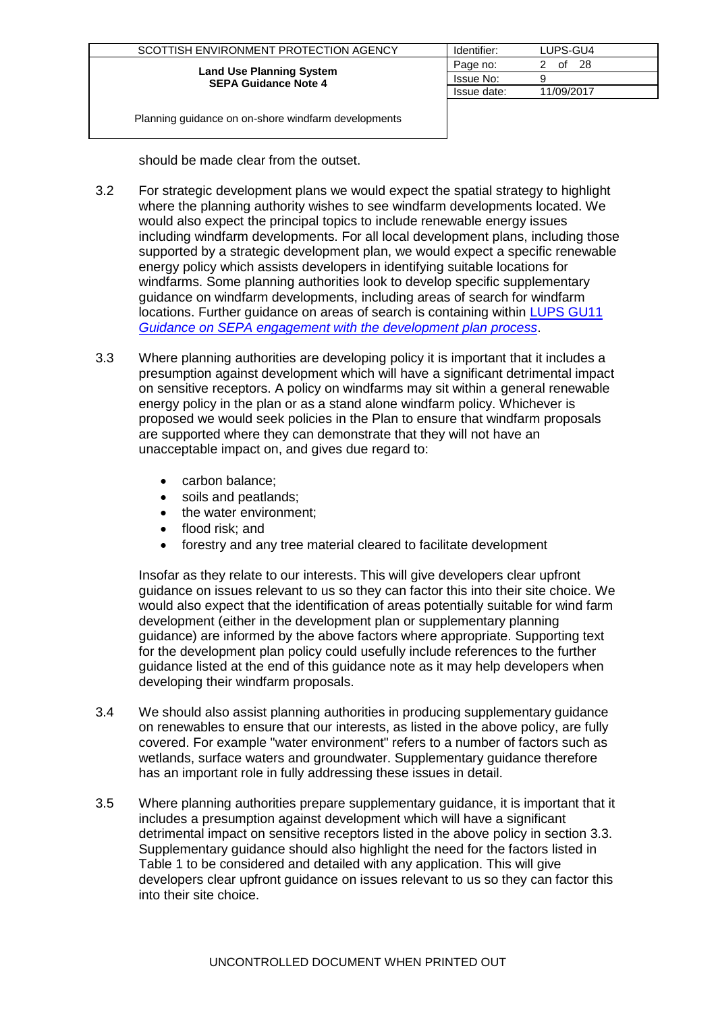| SCOTTISH ENVIRONMENT PROTECTION AGENCY                         | Identifier: | LUPS-GU4   |
|----------------------------------------------------------------|-------------|------------|
|                                                                | Page no:    | -28<br>of  |
| <b>Land Use Planning System</b><br><b>SEPA Guidance Note 4</b> | Issue No:   |            |
|                                                                | Issue date: | 11/09/2017 |
|                                                                |             |            |

should be made clear from the outset.

- 3.2 For strategic development plans we would expect the spatial strategy to highlight where the planning authority wishes to see windfarm developments located. We would also expect the principal topics to include renewable energy issues including windfarm developments. For all local development plans, including those supported by a strategic development plan, we would expect a specific renewable energy policy which assists developers in identifying suitable locations for windfarms. Some planning authorities look to develop specific supplementary guidance on windfarm developments, including areas of search for windfarm locations. Further guidance on areas of search is containing within [LUPS GU11](http://www.sepa.org.uk/idoc.ashx?docid=b2403f90-531b-4e83-853d-b5266653b963&version=-1)  *[Guidance on SEPA engagement with the development plan process](http://www.sepa.org.uk/idoc.ashx?docid=b2403f90-531b-4e83-853d-b5266653b963&version=-1)*.
- 3.3 Where planning authorities are developing policy it is important that it includes a presumption against development which will have a significant detrimental impact on sensitive receptors. A policy on windfarms may sit within a general renewable energy policy in the plan or as a stand alone windfarm policy. Whichever is proposed we would seek policies in the Plan to ensure that windfarm proposals are supported where they can demonstrate that they will not have an unacceptable impact on, and gives due regard to:
	- carbon balance;
	- soils and peatlands;
	- the water environment;
	- flood risk; and
	- forestry and any tree material cleared to facilitate development

Insofar as they relate to our interests. This will give developers clear upfront guidance on issues relevant to us so they can factor this into their site choice. We would also expect that the identification of areas potentially suitable for wind farm development (either in the development plan or supplementary planning guidance) are informed by the above factors where appropriate. Supporting text for the development plan policy could usefully include references to the further guidance listed at the end of this guidance note as it may help developers when developing their windfarm proposals.

- 3.4 We should also assist planning authorities in producing supplementary guidance on renewables to ensure that our interests, as listed in the above policy, are fully covered. For example "water environment" refers to a number of factors such as wetlands, surface waters and groundwater. Supplementary guidance therefore has an important role in fully addressing these issues in detail.
- 3.5 Where planning authorities prepare supplementary guidance, it is important that it includes a presumption against development which will have a significant detrimental impact on sensitive receptors listed in the above policy in section 3.3. Supplementary guidance should also highlight the need for the factors listed in Table 1 to be considered and detailed with any application. This will give developers clear upfront guidance on issues relevant to us so they can factor this into their site choice.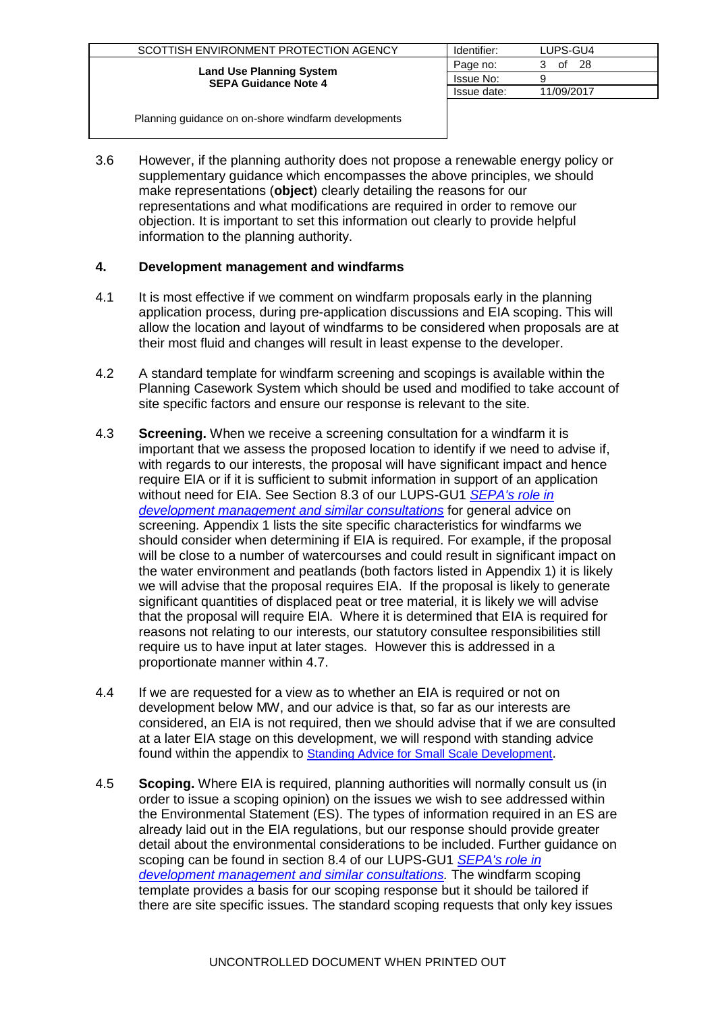| SCOTTISH ENVIRONMENT PROTECTION AGENCY | Identifier: | LUPS-GU4   |
|----------------------------------------|-------------|------------|
| <b>Land Use Planning System</b>        | Page no:    | -28<br>of  |
| <b>SEPA Guidance Note 4</b>            | Issue No:   |            |
|                                        | Issue date: | 11/09/2017 |
|                                        |             |            |

3.6 However, if the planning authority does not propose a renewable energy policy or supplementary guidance which encompasses the above principles, we should make representations (**object**) clearly detailing the reasons for our representations and what modifications are required in order to remove our objection. It is important to set this information out clearly to provide helpful information to the planning authority.

### **4. Development management and windfarms**

- 4.1 It is most effective if we comment on windfarm proposals early in the planning application process, during pre-application discussions and EIA scoping. This will allow the location and layout of windfarms to be considered when proposals are at their most fluid and changes will result in least expense to the developer.
- 4.2 A standard template for windfarm screening and scopings is available within the Planning Casework System which should be used and modified to take account of site specific factors and ensure our response is relevant to the site.
- 4.3 **Screening.** When we receive a screening consultation for a windfarm it is important that we assess the proposed location to identify if we need to advise if, with regards to our interests, the proposal will have significant impact and hence require EIA or if it is sufficient to submit information in support of an application without need for EIA. See Section 8.3 of our LUPS-GU1 *[SEPA's role in](http://www.sepa.org.uk/customer_information/idoc.ashx?docid=08dfead0-1928-40b3-9d93-cf2946ba8ff1&version=-1)  [development management and similar consultations](http://www.sepa.org.uk/customer_information/idoc.ashx?docid=08dfead0-1928-40b3-9d93-cf2946ba8ff1&version=-1)* for general advice on screening*.* Appendix 1 lists the site specific characteristics for windfarms we should consider when determining if EIA is required. For example, if the proposal will be close to a number of watercourses and could result in significant impact on the water environment and peatlands (both factors listed in Appendix 1) it is likely we will advise that the proposal requires EIA. If the proposal is likely to generate significant quantities of displaced peat or tree material, it is likely we will advise that the proposal will require EIA. Where it is determined that EIA is required for reasons not relating to our interests, our statutory consultee responsibilities still require us to have input at later stages. However this is addressed in a proportionate manner within 4.7.
- 4.4 If we are requested for a view as to whether an EIA is required or not on development below MW, and our advice is that, so far as our interests are considered, an EIA is not required, then we should advise that if we are consulted at a later EIA stage on this development, we will respond with standing advice found within the appendix to **[Standing Advice for Small Scale Development](http://www.sepa.org.uk/idoc.ashx?docid=5b4551be-3323-49c9-bb4a-5c9a86c38fbe&version=-1)**.
- 4.5 **Scoping.** Where EIA is required, planning authorities will normally consult us (in order to issue a scoping opinion) on the issues we wish to see addressed within the Environmental Statement (ES). The types of information required in an ES are already laid out in the EIA regulations, but our response should provide greater detail about the environmental considerations to be included. Further guidance on scoping can be found in section 8.4 of our LUPS-GU1 *[SEPA's role in](http://www.sepa.org.uk/customer_information/idoc.ashx?docid=08dfead0-1928-40b3-9d93-cf2946ba8ff1&version=-1)  [development management and similar consultations.](http://www.sepa.org.uk/customer_information/idoc.ashx?docid=08dfead0-1928-40b3-9d93-cf2946ba8ff1&version=-1)* The windfarm scoping template provides a basis for our scoping response but it should be tailored if there are site specific issues. The standard scoping requests that only key issues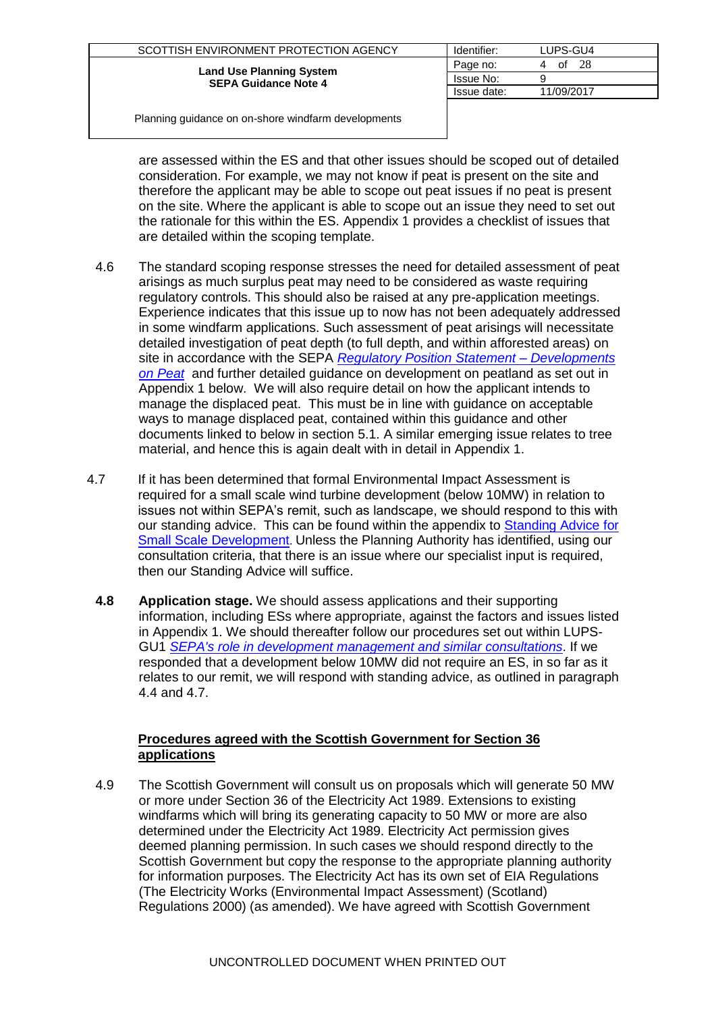| SCOTTISH ENVIRONMENT PROTECTION AGENCY | Identifier: | LUPS-GU4   |
|----------------------------------------|-------------|------------|
| <b>Land Use Planning System</b>        | Page no:    | -28<br>of  |
| <b>SEPA Guidance Note 4</b>            | Issue No:   |            |
|                                        | Issue date: | 11/09/2017 |
|                                        |             |            |

are assessed within the ES and that other issues should be scoped out of detailed consideration. For example, we may not know if peat is present on the site and therefore the applicant may be able to scope out peat issues if no peat is present on the site. Where the applicant is able to scope out an issue they need to set out the rationale for this within the ES. Appendix 1 provides a checklist of issues that are detailed within the scoping template.

- 4.6 The standard scoping response stresses the need for detailed assessment of peat arisings as much surplus peat may need to be considered as waste requiring regulatory controls. This should also be raised at any pre-application meetings. Experience indicates that this issue up to now has not been adequately addressed in some windfarm applications. Such assessment of peat arisings will necessitate detailed investigation of peat depth (to full depth, and within afforested areas) on site in accordance with the SEPA *[Regulatory Position Statement –](http://www.sepa.org.uk/waste/waste_regulation/idoc.ashx?docid=c2030d4f-898f-479b-9f1c-638a3d87f036&version=-1) Developments [on Peat](http://www.sepa.org.uk/waste/waste_regulation/idoc.ashx?docid=c2030d4f-898f-479b-9f1c-638a3d87f036&version=-1)* and further detailed guidance on development on peatland as set out in Appendix 1 below. We will also require detail on how the applicant intends to manage the displaced peat. This must be in line with guidance on acceptable ways to manage displaced peat, contained within this guidance and other documents linked to below in section 5.1. A similar emerging issue relates to tree material, and hence this is again dealt with in detail in Appendix 1.
- 4.7 If it has been determined that formal Environmental Impact Assessment is required for a small scale wind turbine development (below 10MW) in relation to issues not within SEPA's remit, such as landscape, we should respond to this with our standing advice. This can be found within the appendix to [Standing Advice for](http://www.sepa.org.uk/idoc.ashx?docid=5b4551be-3323-49c9-bb4a-5c9a86c38fbe&version=-1)  **[Small Scale Development](http://www.sepa.org.uk/idoc.ashx?docid=5b4551be-3323-49c9-bb4a-5c9a86c38fbe&version=-1).** Unless the Planning Authority has identified, using our consultation criteria, that there is an issue where our specialist input is required, then our Standing Advice will suffice.
	- **4.8 Application stage.** We should assess applications and their supporting information, including ESs where appropriate, against the factors and issues listed in Appendix 1. We should thereafter follow our procedures set out within LUPS-GU1 *[SEPA's role in development management and similar consultations](http://www.sepa.org.uk/customer_information/idoc.ashx?docid=08dfead0-1928-40b3-9d93-cf2946ba8ff1&version=-1)*. If we responded that a development below 10MW did not require an ES, in so far as it relates to our remit, we will respond with standing advice, as outlined in paragraph 4.4 and 4.7.

### **Procedures agreed with the Scottish Government for Section 36 applications**

4.9 The Scottish Government will consult us on proposals which will generate 50 MW or more under Section 36 of the Electricity Act 1989. Extensions to existing windfarms which will bring its generating capacity to 50 MW or more are also determined under the Electricity Act 1989. Electricity Act permission gives deemed planning permission. In such cases we should respond directly to the Scottish Government but copy the response to the appropriate planning authority for information purposes. The Electricity Act has its own set of EIA Regulations (The Electricity Works (Environmental Impact Assessment) (Scotland) Regulations 2000) (as amended). We have agreed with Scottish Government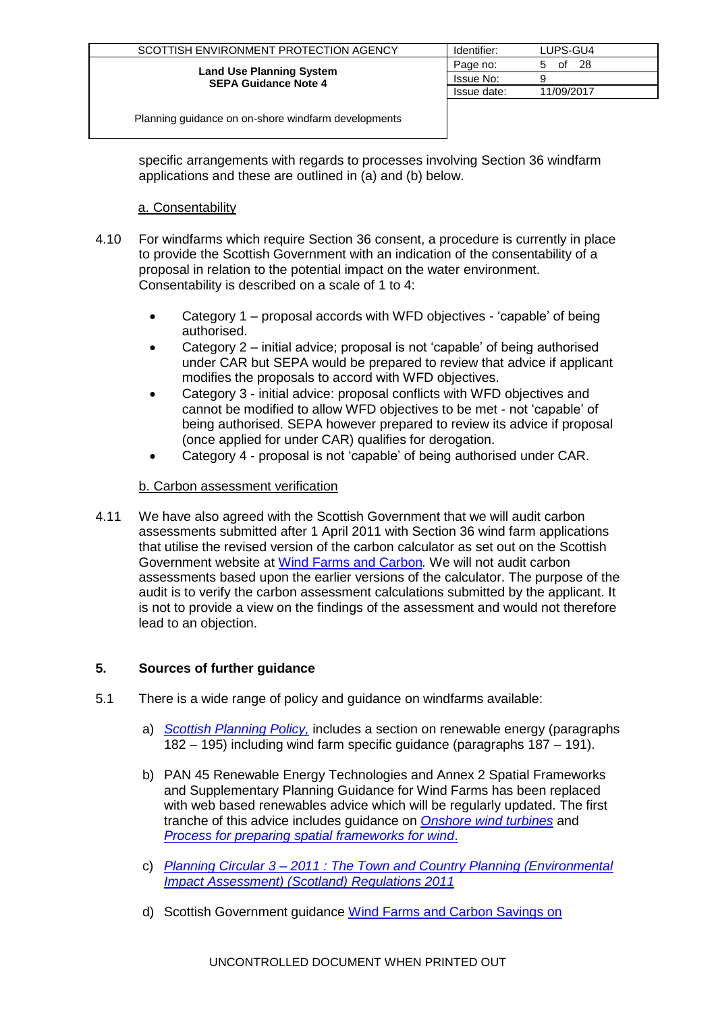| SCOTTISH ENVIRONMENT PROTECTION AGENCY                         | Identifier: | LUPS-GU4      |
|----------------------------------------------------------------|-------------|---------------|
|                                                                | Page no:    | 28<br>of<br>b |
| <b>Land Use Planning System</b><br><b>SEPA Guidance Note 4</b> | Issue No:   |               |
|                                                                | Issue date: | 11/09/2017    |
|                                                                |             |               |

specific arrangements with regards to processes involving Section 36 windfarm applications and these are outlined in (a) and (b) below.

### a. Consentability

- 4.10 For windfarms which require Section 36 consent, a procedure is currently in place to provide the Scottish Government with an indication of the consentability of a proposal in relation to the potential impact on the water environment. Consentability is described on a scale of 1 to 4:
	- Category 1 proposal accords with WFD objectives 'capable' of being authorised.
	- Category 2 initial advice; proposal is not 'capable' of being authorised under CAR but SEPA would be prepared to review that advice if applicant modifies the proposals to accord with WFD objectives.
	- Category 3 initial advice: proposal conflicts with WFD objectives and cannot be modified to allow WFD objectives to be met - not 'capable' of being authorised. SEPA however prepared to review its advice if proposal (once applied for under CAR) qualifies for derogation.
	- Category 4 proposal is not 'capable' of being authorised under CAR.

# b. Carbon assessment verification

4.11 We have also agreed with the Scottish Government that we will audit carbon assessments submitted after 1 April 2011 with Section 36 wind farm applications that utilise the revised version of the carbon calculator as set out on the Scottish Government website at [Wind Farms and Carbon](http://www.scotland.gov.uk/topics/business-industry/energy/energy-sources/19185/17852-1/CSavings)*.* We will not audit carbon assessments based upon the earlier versions of the calculator. The purpose of the audit is to verify the carbon assessment calculations submitted by the applicant. It is not to provide a view on the findings of the assessment and would not therefore lead to an objection.

# **5. Sources of further guidance**

- 5.1 There is a wide range of policy and guidance on windfarms available:
	- a) *[Scottish Planning Policy,](http://www.scotland.gov.uk/Publications/2010/02/03132605/0)* includes a section on renewable energy (paragraphs 182 – 195) including wind farm specific guidance (paragraphs 187 – 191).
	- b) PAN 45 Renewable Energy Technologies and Annex 2 Spatial Frameworks and Supplementary Planning Guidance for Wind Farms has been replaced with web based renewables advice which will be regularly updated. The first tranche of this advice includes guidance on *[Onshore wind turbines](http://www.scotland.gov.uk/Topics/Built-Environment/planning/National-Planning-Policy/themes/renewables/Onshore)* and *[Process for preparing spatial frameworks for wind](http://www.scotland.gov.uk/Topics/Built-Environment/planning/National-Planning-Policy/themes/renewables/spatialframework)*.
	- c) *Planning Circular 3 – [2011 : The Town and Country Planning \(Environmental](http://www.scotland.gov.uk/Publications/2011/06/01084419/10)  [Impact Assessment\) \(Scotland\) Regulations 2011](http://www.scotland.gov.uk/Publications/2011/06/01084419/10)*
	- d) Scottish Government guidance [Wind Farms and Carbon Savings on](http://www.scotland.gov.uk/Topics/Business-Industry/Energy/Energy-sources/19185/17852-1/CSavings)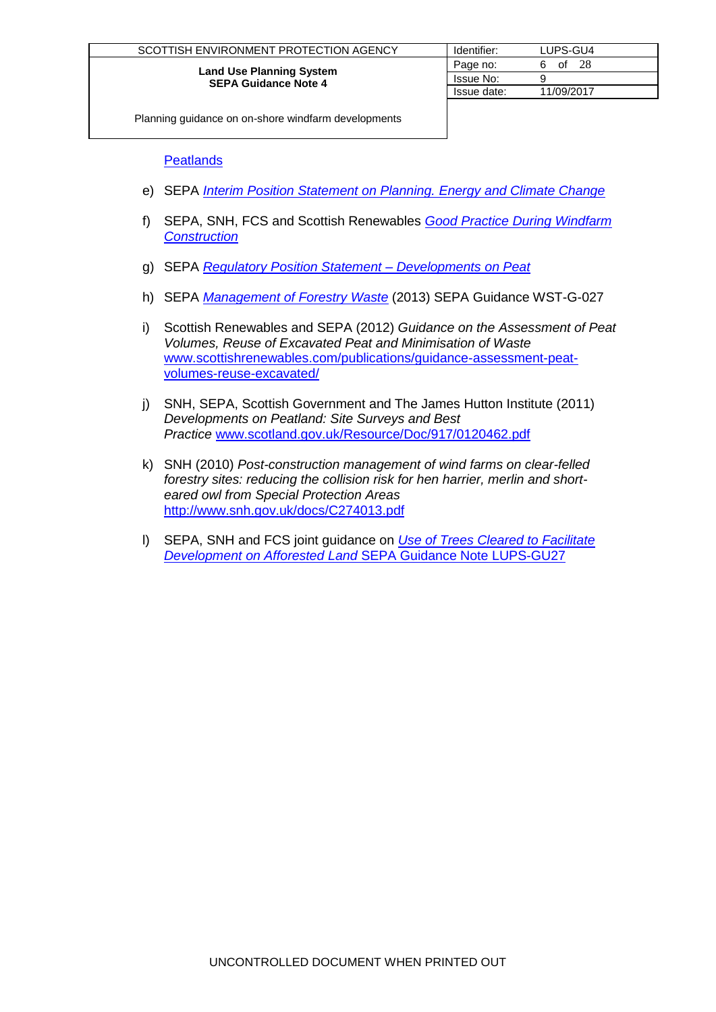| SCOTTISH ENVIRONMENT PROTECTION AGENCY                         | Identifier: | LUPS-GU4   |
|----------------------------------------------------------------|-------------|------------|
|                                                                | Page no:    | 28<br>of   |
| <b>Land Use Planning System</b><br><b>SEPA Guidance Note 4</b> | Issue No:   |            |
|                                                                | Issue date: | 11/09/2017 |
|                                                                |             |            |

**[Peatlands](http://www.scotland.gov.uk/Topics/Business-Industry/Energy/Energy-sources/19185/17852-1/CSavings)** 

- e) SEPA *[Interim Position Statement on Planning. Energy and Climate Change](http://www.sepa.org.uk/about_us/idoc.ashx?docid=d8d04aac-d2c2-4043-9704-3bd3236c7f04&version=-1)*
- f) SEPA, SNH, FCS and Scottish Renewables *[Good Practice During Windfarm](http://www.snh.org.uk/pdfs/strategy/renewables/Good%20practice%20during%20windfarm%20construction.pdf)  [Construction](http://www.snh.org.uk/pdfs/strategy/renewables/Good%20practice%20during%20windfarm%20construction.pdf)*
- g) SEPA *[Regulatory Position Statement –](http://www.sepa.org.uk/waste/waste_regulation/idoc.ashx?docid=c2030d4f-898f-479b-9f1c-638a3d87f036&version=-1) Developments on Peat*
- h) SEPA *[Management of Forestry Waste](http://www.sepa.org.uk/waste/waste_regulation/guidance__position_statements.aspx)* (2013) SEPA Guidance WST-G-027
- i) Scottish Renewables and SEPA (2012) *Guidance on the Assessment of Peat Volumes, Reuse of Excavated Peat and Minimisation of Waste*  [www.scottishrenewables.com/publications/guidance-assessment-peat](http://www.scottishrenewables.com/publications/guidance-assessment-peat-volumes-reuse-excavated/)[volumes-reuse-excavated/](http://www.scottishrenewables.com/publications/guidance-assessment-peat-volumes-reuse-excavated/)
- j) SNH, SEPA, Scottish Government and The James Hutton Institute (2011) *Developments on Peatland: Site Surveys and Best Practice* [www.scotland.gov.uk/Resource/Doc/917/0120462.pdf](http://www.scotland.gov.uk/Resource/Doc/917/0120462.pdf)
- k) SNH (2010) *Post-construction management of wind farms on clear-felled forestry sites: reducing the collision risk for hen harrier, merlin and shorteared owl from Special Protection Areas* <http://www.snh.gov.uk/docs/C274013.pdf>
- l) SEPA, SNH and FCS joint guidance on *[Use of Trees Cleared to Facilitate](http://stir-app-qpl01/QPulse5Web/UI/Common/ViewAttachment.aspx?type=doc&idtype=doc&id=28568)  Development on Afforested Land* [SEPA Guidance Note LUPS-GU27](http://stir-app-qpl01/QPulse5Web/UI/Common/ViewAttachment.aspx?type=doc&idtype=doc&id=28568)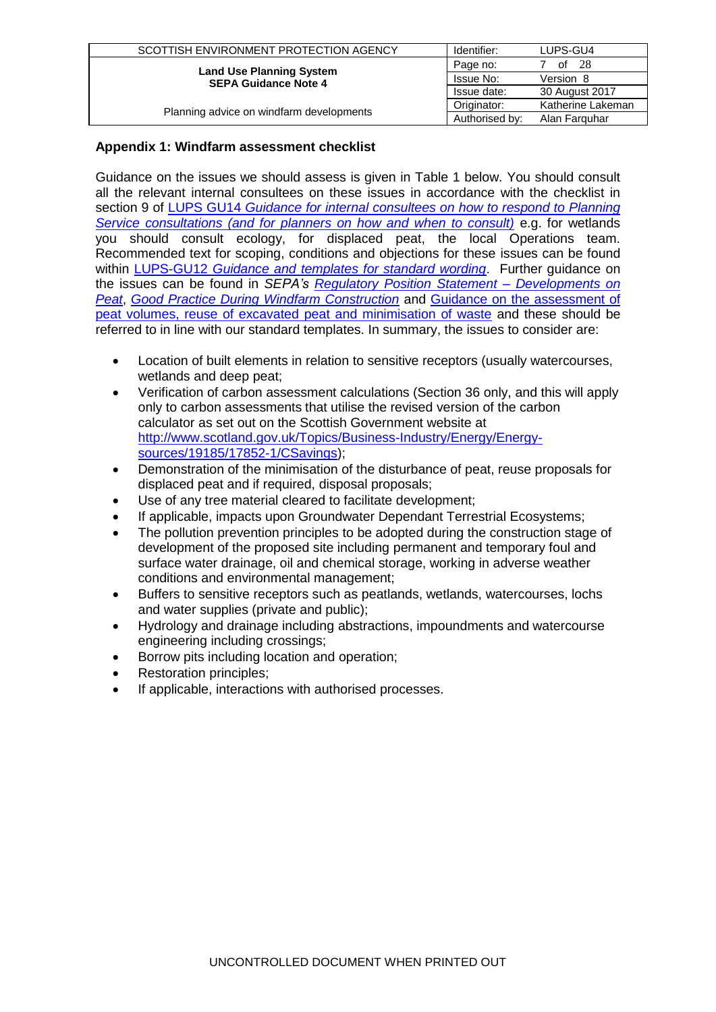| SCOTTISH ENVIRONMENT PROTECTION AGENCY                         | Identifier:    | LUPS-GU4          |
|----------------------------------------------------------------|----------------|-------------------|
|                                                                | Page no:       | - 28<br>of        |
| <b>Land Use Planning System</b><br><b>SEPA Guidance Note 4</b> | Issue No:      | Version 8         |
|                                                                | Issue date:    | 30 August 2017    |
|                                                                | Originator:    | Katherine Lakeman |
| Planning advice on windfarm developments                       | Authorised by: | Alan Farguhar     |

### **Appendix 1: Windfarm assessment checklist**

Guidance on the issues we should assess is given in Table 1 below. You should consult all the relevant internal consultees on these issues in accordance with the checklist in section 9 of LUPS GU14 *[Guidance for internal consultees on](http://www.sepa.org.uk/customer_information/idoc.ashx?docid=b6cda95c-ba5c-4081-9b83-d6a05c24da95&version=-1) how to respond to Planning [Service consultations \(and for planners on how and when to consult\)](http://www.sepa.org.uk/customer_information/idoc.ashx?docid=b6cda95c-ba5c-4081-9b83-d6a05c24da95&version=-1)* e.g. for wetlands you should consult ecology, for displaced peat, the local Operations team. Recommended text for scoping, conditions and objections for these issues can be found within LUPS-GU12 *[Guidance and templates for standard wording](http://www.sepa.org.uk/customer_information/idoc.ashx?docid=ebbe3f72-dbf9-4000-940e-08fb6021935f&version=-1)*. Further guidance on the issues can be found in *SEPA's [Regulatory Position Statement –](http://www.sepa.org.uk/waste/waste_regulation/idoc.ashx?docid=c2030d4f-898f-479b-9f1c-638a3d87f036&version=-1) Developments on [Peat](http://www.sepa.org.uk/waste/waste_regulation/idoc.ashx?docid=c2030d4f-898f-479b-9f1c-638a3d87f036&version=-1)*, *[Good Practice During Windfarm Construction](http://www.snh.org.uk/pdfs/strategy/renewables/Good%20practice%20during%20windfarm%20construction.pdf)* and [Guidance on the assessment of](http://www.scottishrenewables.com/publications/guidance-assessment-peat-volumes-reuse-excavated/)  [peat volumes, reuse of excavated peat and minimisation of waste](http://www.scottishrenewables.com/publications/guidance-assessment-peat-volumes-reuse-excavated/) and these should be referred to in line with our standard templates. In summary, the issues to consider are:

- Location of built elements in relation to sensitive receptors (usually watercourses, wetlands and deep peat;
- Verification of carbon assessment calculations (Section 36 only, and this will apply only to carbon assessments that utilise the revised version of the carbon calculator as set out on the Scottish Government website at [http://www.scotland.gov.uk/Topics/Business-Industry/Energy/Energy](http://www.scotland.gov.uk/Topics/Business-Industry/Energy/Energy-sources/19185/17852-1/CSavings)[sources/19185/17852-1/CSavings\)](http://www.scotland.gov.uk/Topics/Business-Industry/Energy/Energy-sources/19185/17852-1/CSavings);
- Demonstration of the minimisation of the disturbance of peat, reuse proposals for displaced peat and if required, disposal proposals;
- Use of any tree material cleared to facilitate development;
- If applicable, impacts upon Groundwater Dependant Terrestrial Ecosystems;
- The pollution prevention principles to be adopted during the construction stage of development of the proposed site including permanent and temporary foul and surface water drainage, oil and chemical storage, working in adverse weather conditions and environmental management;
- Buffers to sensitive receptors such as peatlands, wetlands, watercourses, lochs and water supplies (private and public);
- Hydrology and drainage including abstractions, impoundments and watercourse engineering including crossings;
- Borrow pits including location and operation;
- Restoration principles;
- If applicable, interactions with authorised processes.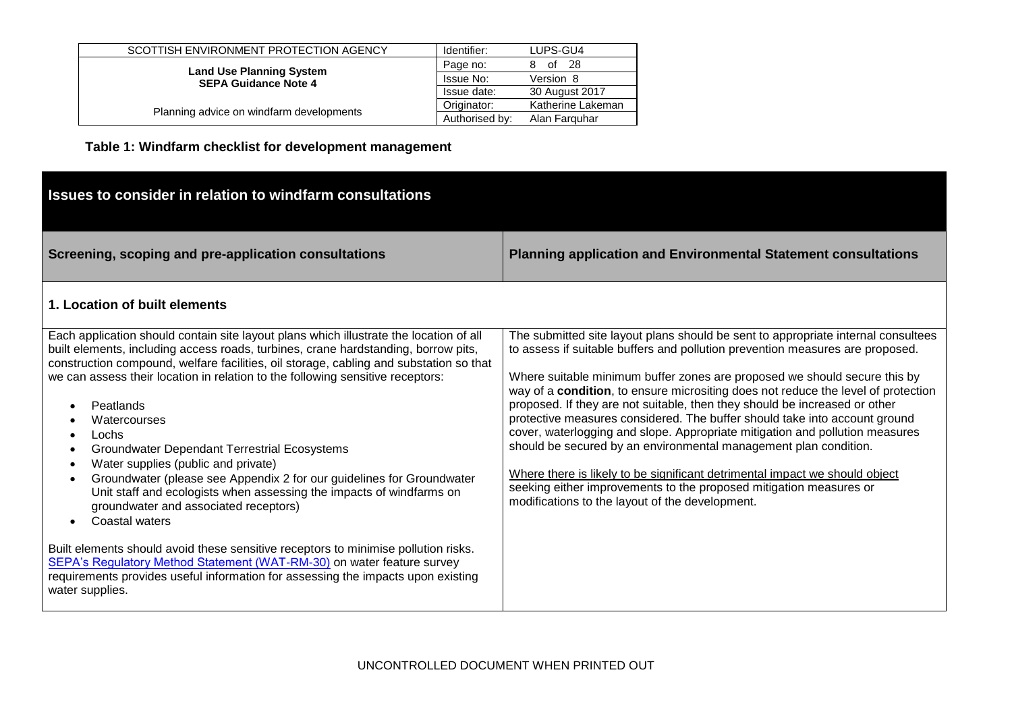| SCOTTISH ENVIRONMENT PROTECTION AGENCY                         | Identifier:    | LUPS-GU4          |
|----------------------------------------------------------------|----------------|-------------------|
|                                                                | Page no:       | - 28<br>of        |
| <b>Land Use Planning System</b><br><b>SEPA Guidance Note 4</b> | Issue No:      | Version 8         |
|                                                                | Issue date:    | 30 August 2017    |
|                                                                | Originator:    | Katherine Lakeman |
| Planning advice on windfarm developments                       | Authorised by: | Alan Farguhar     |

**Table 1: Windfarm checklist for development management**

| Issues to consider in relation to windfarm consultations                                                                                                                                                                                                                                                                                                                                                                                                                                                                                                                                                                                                                                                                                                                                                                                                                                                                                                                                                                                         |                                                                                                                                                                                                                                                                                                                                                                                                                                                                                                                                                                                                                                                                                                                                                                                                                                                              |
|--------------------------------------------------------------------------------------------------------------------------------------------------------------------------------------------------------------------------------------------------------------------------------------------------------------------------------------------------------------------------------------------------------------------------------------------------------------------------------------------------------------------------------------------------------------------------------------------------------------------------------------------------------------------------------------------------------------------------------------------------------------------------------------------------------------------------------------------------------------------------------------------------------------------------------------------------------------------------------------------------------------------------------------------------|--------------------------------------------------------------------------------------------------------------------------------------------------------------------------------------------------------------------------------------------------------------------------------------------------------------------------------------------------------------------------------------------------------------------------------------------------------------------------------------------------------------------------------------------------------------------------------------------------------------------------------------------------------------------------------------------------------------------------------------------------------------------------------------------------------------------------------------------------------------|
| Screening, scoping and pre-application consultations                                                                                                                                                                                                                                                                                                                                                                                                                                                                                                                                                                                                                                                                                                                                                                                                                                                                                                                                                                                             | <b>Planning application and Environmental Statement consultations</b>                                                                                                                                                                                                                                                                                                                                                                                                                                                                                                                                                                                                                                                                                                                                                                                        |
| 1. Location of built elements                                                                                                                                                                                                                                                                                                                                                                                                                                                                                                                                                                                                                                                                                                                                                                                                                                                                                                                                                                                                                    |                                                                                                                                                                                                                                                                                                                                                                                                                                                                                                                                                                                                                                                                                                                                                                                                                                                              |
| Each application should contain site layout plans which illustrate the location of all<br>built elements, including access roads, turbines, crane hardstanding, borrow pits,<br>construction compound, welfare facilities, oil storage, cabling and substation so that<br>we can assess their location in relation to the following sensitive receptors:<br>Peatlands<br>Watercourses<br>Lochs<br>$\bullet$<br><b>Groundwater Dependant Terrestrial Ecosystems</b><br>$\bullet$<br>Water supplies (public and private)<br>$\bullet$<br>Groundwater (please see Appendix 2 for our guidelines for Groundwater<br>$\bullet$<br>Unit staff and ecologists when assessing the impacts of windfarms on<br>groundwater and associated receptors)<br>Coastal waters<br>$\bullet$<br>Built elements should avoid these sensitive receptors to minimise pollution risks.<br>SEPA's Regulatory Method Statement (WAT-RM-30) on water feature survey<br>requirements provides useful information for assessing the impacts upon existing<br>water supplies. | The submitted site layout plans should be sent to appropriate internal consultees<br>to assess if suitable buffers and pollution prevention measures are proposed.<br>Where suitable minimum buffer zones are proposed we should secure this by<br>way of a condition, to ensure micrositing does not reduce the level of protection<br>proposed. If they are not suitable, then they should be increased or other<br>protective measures considered. The buffer should take into account ground<br>cover, waterlogging and slope. Appropriate mitigation and pollution measures<br>should be secured by an environmental management plan condition.<br>Where there is likely to be significant detrimental impact we should object<br>seeking either improvements to the proposed mitigation measures or<br>modifications to the layout of the development. |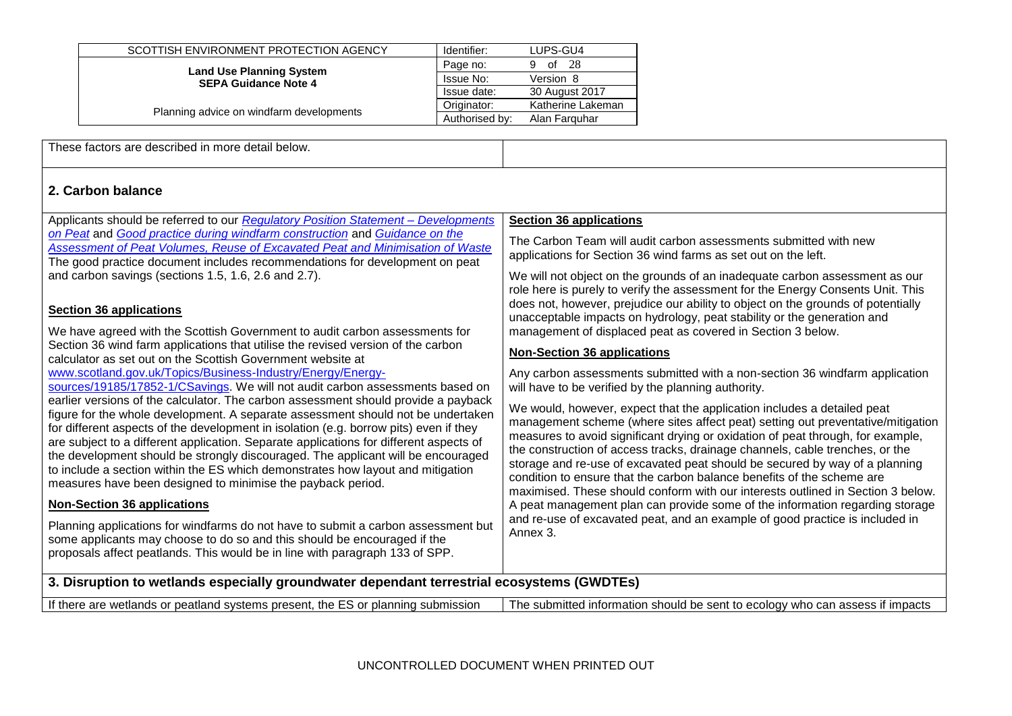| SCOTTISH ENVIRONMENT PROTECTION AGENCY   | Identifier:    | LUPS-GU4          |
|------------------------------------------|----------------|-------------------|
| <b>Land Use Planning System</b>          | Page no:       | - 28<br>of<br>g   |
| <b>SEPA Guidance Note 4</b>              | Issue No:      | Version 8         |
|                                          | Issue date:    | 30 August 2017    |
| Planning advice on windfarm developments | Originator:    | Katherine Lakeman |
|                                          | Authorised by: | Alan Farguhar     |

These factors are described in more detail below.

### **2. Carbon balance**

| Applicants should be referred to our Regulatory Position Statement - Developments                                                                                                                                                                                                                                                                                                                                                                                                                                                                                                               | <b>Section 36 applications</b>                                                                                                                                                                                                                                                                                                                                                                                                                                                                                                                                            |
|-------------------------------------------------------------------------------------------------------------------------------------------------------------------------------------------------------------------------------------------------------------------------------------------------------------------------------------------------------------------------------------------------------------------------------------------------------------------------------------------------------------------------------------------------------------------------------------------------|---------------------------------------------------------------------------------------------------------------------------------------------------------------------------------------------------------------------------------------------------------------------------------------------------------------------------------------------------------------------------------------------------------------------------------------------------------------------------------------------------------------------------------------------------------------------------|
| on Peat and Good practice during windfarm construction and Guidance on the<br>Assessment of Peat Volumes, Reuse of Excavated Peat and Minimisation of Waste<br>The good practice document includes recommendations for development on peat                                                                                                                                                                                                                                                                                                                                                      | The Carbon Team will audit carbon assessments submitted with new<br>applications for Section 36 wind farms as set out on the left.                                                                                                                                                                                                                                                                                                                                                                                                                                        |
| and carbon savings (sections 1.5, 1.6, 2.6 and 2.7).                                                                                                                                                                                                                                                                                                                                                                                                                                                                                                                                            | We will not object on the grounds of an inadequate carbon assessment as our<br>role here is purely to verify the assessment for the Energy Consents Unit. This                                                                                                                                                                                                                                                                                                                                                                                                            |
| <b>Section 36 applications</b>                                                                                                                                                                                                                                                                                                                                                                                                                                                                                                                                                                  | does not, however, prejudice our ability to object on the grounds of potentially<br>unacceptable impacts on hydrology, peat stability or the generation and                                                                                                                                                                                                                                                                                                                                                                                                               |
| We have agreed with the Scottish Government to audit carbon assessments for                                                                                                                                                                                                                                                                                                                                                                                                                                                                                                                     | management of displaced peat as covered in Section 3 below.                                                                                                                                                                                                                                                                                                                                                                                                                                                                                                               |
| Section 36 wind farm applications that utilise the revised version of the carbon<br>calculator as set out on the Scottish Government website at                                                                                                                                                                                                                                                                                                                                                                                                                                                 | <b>Non-Section 36 applications</b>                                                                                                                                                                                                                                                                                                                                                                                                                                                                                                                                        |
| www.scotland.gov.uk/Topics/Business-Industry/Energy/Energy-<br>sources/19185/17852-1/CSavings. We will not audit carbon assessments based on                                                                                                                                                                                                                                                                                                                                                                                                                                                    | Any carbon assessments submitted with a non-section 36 windfarm application<br>will have to be verified by the planning authority.                                                                                                                                                                                                                                                                                                                                                                                                                                        |
| earlier versions of the calculator. The carbon assessment should provide a payback<br>figure for the whole development. A separate assessment should not be undertaken<br>for different aspects of the development in isolation (e.g. borrow pits) even if they<br>are subject to a different application. Separate applications for different aspects of<br>the development should be strongly discouraged. The applicant will be encouraged<br>to include a section within the ES which demonstrates how layout and mitigation<br>measures have been designed to minimise the payback period. | We would, however, expect that the application includes a detailed peat<br>management scheme (where sites affect peat) setting out preventative/mitigation<br>measures to avoid significant drying or oxidation of peat through, for example,<br>the construction of access tracks, drainage channels, cable trenches, or the<br>storage and re-use of excavated peat should be secured by way of a planning<br>condition to ensure that the carbon balance benefits of the scheme are<br>maximised. These should conform with our interests outlined in Section 3 below. |
| <b>Non-Section 36 applications</b>                                                                                                                                                                                                                                                                                                                                                                                                                                                                                                                                                              | A peat management plan can provide some of the information regarding storage                                                                                                                                                                                                                                                                                                                                                                                                                                                                                              |
| Planning applications for windfarms do not have to submit a carbon assessment but<br>some applicants may choose to do so and this should be encouraged if the<br>proposals affect peatlands. This would be in line with paragraph 133 of SPP.                                                                                                                                                                                                                                                                                                                                                   | and re-use of excavated peat, and an example of good practice is included in<br>Annex 3.                                                                                                                                                                                                                                                                                                                                                                                                                                                                                  |
| 3 Disruption to wetlands especially groundwater dependent terrestrial ecosystems (GWDTEs)                                                                                                                                                                                                                                                                                                                                                                                                                                                                                                       |                                                                                                                                                                                                                                                                                                                                                                                                                                                                                                                                                                           |

#### **3. Disruption to wetlands especially groundwater dependant terrestrial ecosystems (GWDTEs)**

| The submitted information should be sent to ecology who can assess if impacts<br>If there are wetlands or peatland systems present, the ES or planning submission |
|-------------------------------------------------------------------------------------------------------------------------------------------------------------------|
|-------------------------------------------------------------------------------------------------------------------------------------------------------------------|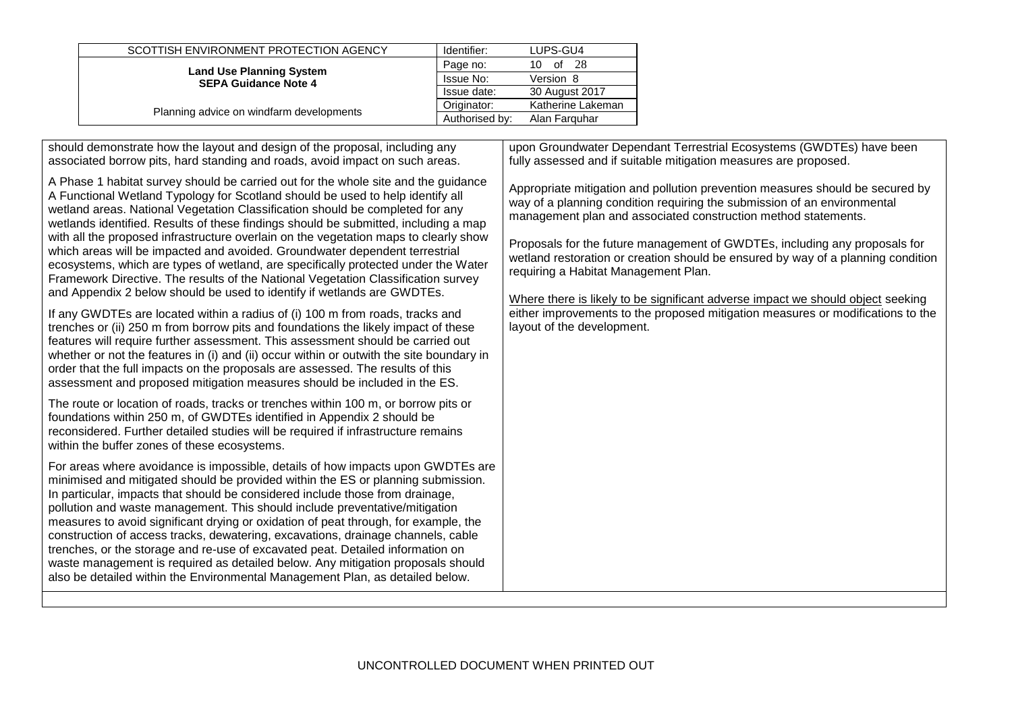| SCOTTISH ENVIRONMENT PROTECTION AGENCY                         | Identifier:    | LUPS-GU4          |
|----------------------------------------------------------------|----------------|-------------------|
| <b>Land Use Planning System</b><br><b>SEPA Guidance Note 4</b> | Page no:       | - 28<br>10.<br>of |
|                                                                | Issue No:      | Version 8         |
|                                                                | Issue date:    | 30 August 2017    |
|                                                                | Originator:    | Katherine Lakeman |
| Planning advice on windfarm developments                       | Authorised by: | Alan Farguhar     |

should demonstrate how the layout and design of the proposal, including any associated borrow pits, hard standing and roads, avoid impact on such areas.

A Phase 1 habitat survey should be carried out for the whole site and the guidance A Functional Wetland Typology for Scotland should be used to help identify all wetland areas. National Vegetation Classification should be completed for any wetlands identified. Results of these findings should be submitted, including a map with all the proposed infrastructure overlain on the vegetation maps to clearly show which areas will be impacted and avoided. Groundwater dependent terrestrial ecosystems, which are types of wetland, are specifically protected under the Water Framework Directive. The results of the National Vegetation Classification survey and Appendix 2 below should be used to identify if wetlands are GWDTEs.

If any GWDTEs are located within a radius of (i) 100 m from roads, tracks and trenches or (ii) 250 m from borrow pits and foundations the likely impact of these features will require further assessment. This assessment should be carried out whether or not the features in (i) and (ii) occur within or outwith the site boundary in order that the full impacts on the proposals are assessed. The results of this assessment and proposed mitigation measures should be included in the ES.

The route or location of roads, tracks or trenches within 100 m, or borrow pits or foundations within 250 m, of GWDTEs identified in Appendix 2 should be reconsidered. Further detailed studies will be required if infrastructure remains within the buffer zones of these ecosystems.

For areas where avoidance is impossible, details of how impacts upon GWDTEs are minimised and mitigated should be provided within the ES or planning submission. In particular, impacts that should be considered include those from drainage, pollution and waste management. This should include preventative/mitigation measures to avoid significant drying or oxidation of peat through, for example, the construction of access tracks, dewatering, excavations, drainage channels, cable trenches, or the storage and re-use of excavated peat. Detailed information on waste management is required as detailed below. Any mitigation proposals should also be detailed within the Environmental Management Plan, as detailed below.

upon Groundwater Dependant Terrestrial Ecosystems (GWDTEs) have been fully assessed and if suitable mitigation measures are proposed.

Appropriate mitigation and pollution prevention measures should be secured by way of a planning condition requiring the submission of an environmental management plan and associated construction method statements.

Proposals for the future management of GWDTEs, including any proposals for wetland restoration or creation should be ensured by way of a planning condition requiring a Habitat Management Plan.

Where there is likely to be significant adverse impact we should object seeking either improvements to the proposed mitigation measures or modifications to the layout of the development.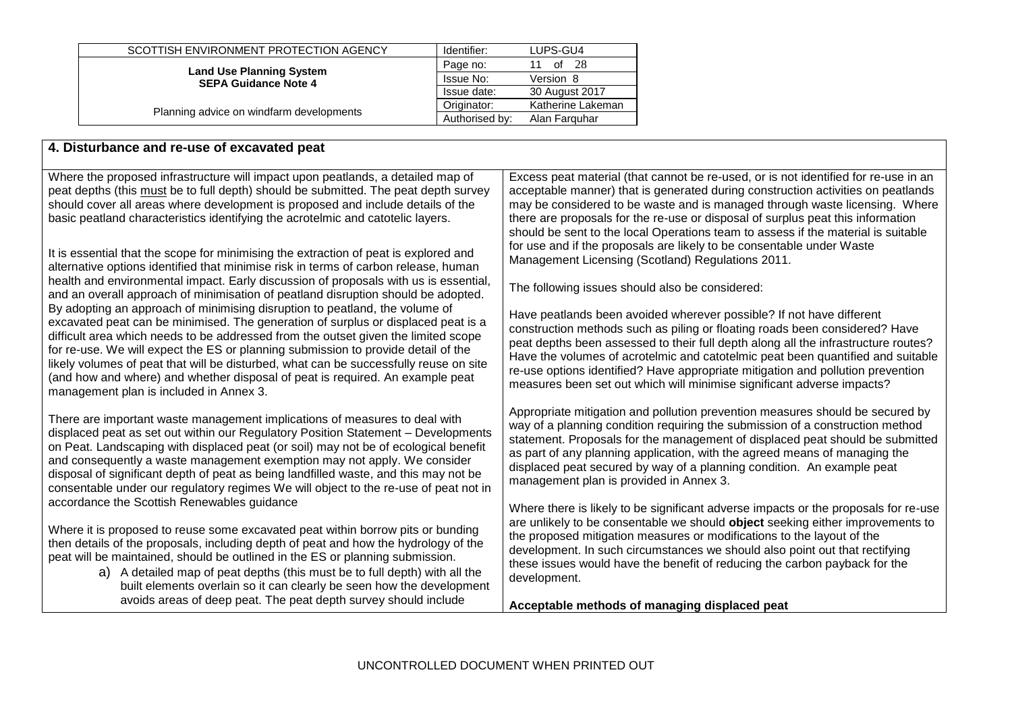|                                                                                                            | Originator: | Katherine Lakeman |
|------------------------------------------------------------------------------------------------------------|-------------|-------------------|
| <b>Land Use Planning System</b><br><b>SEPA Guidance Note 4</b><br>Planning advice on windfarm developments |             |                   |
|                                                                                                            | Issue date: | 30 August 2017    |
|                                                                                                            | Issue No:   | Version 8         |
|                                                                                                            | Page no:    | -28<br>of<br>11   |
| SCOTTISH ENVIRONMENT PROTECTION AGENCY                                                                     | Identifier: | LUPS-GU4          |

### **4. Disturbance and re-use of excavated peat**

Where the proposed infrastructure will impact upon peatlands, a detailed map of peat depths (this must be to full depth) should be submitted. The peat depth survey should cover all areas where development is proposed and include details of the basic peatland characteristics identifying the acrotelmic and catotelic layers.

It is essential that the scope for minimising the extraction of peat is explored and alternative options identified that minimise risk in terms of carbon release, human health and environmental impact. Early discussion of proposals with us is essential, and an overall approach of minimisation of peatland disruption should be adopted. By adopting an approach of minimising disruption to peatland, the volume of excavated peat can be minimised. The generation of surplus or displaced peat is a difficult area which needs to be addressed from the outset given the limited scope for re-use. We will expect the ES or planning submission to provide detail of the likely volumes of peat that will be disturbed, what can be successfully reuse on site (and how and where) and whether disposal of peat is required. An example peat management plan is included in Annex 3.

There are important waste management implications of measures to deal with displaced peat as set out within our Regulatory Position Statement – Developments on Peat. Landscaping with displaced peat (or soil) may not be of ecological benefit and consequently a waste management exemption may not apply. We consider disposal of significant depth of peat as being landfilled waste, and this may not be consentable under our regulatory regimes We will object to the re-use of peat not in accordance the Scottish Renewables guidance

Where it is proposed to reuse some excavated peat within borrow pits or bunding then details of the proposals, including depth of peat and how the hydrology of the peat will be maintained, should be outlined in the ES or planning submission.

> a) A detailed map of peat depths (this must be to full depth) with all the built elements overlain so it can clearly be seen how the development avoids areas of deep peat. The peat depth survey should include

Excess peat material (that cannot be re-used, or is not identified for re-use in an acceptable manner) that is generated during construction activities on peatlands may be considered to be waste and is managed through waste licensing. Where there are proposals for the re-use or disposal of surplus peat this information should be sent to the local Operations team to assess if the material is suitable for use and if the proposals are likely to be consentable under Waste Management Licensing (Scotland) Regulations 2011.

The following issues should also be considered:

Have peatlands been avoided wherever possible? If not have different construction methods such as piling or floating roads been considered? Have peat depths been assessed to their full depth along all the infrastructure routes? Have the volumes of acrotelmic and catotelmic peat been quantified and suitable re-use options identified? Have appropriate mitigation and pollution prevention measures been set out which will minimise significant adverse impacts?

Appropriate mitigation and pollution prevention measures should be secured by way of a planning condition requiring the submission of a construction method statement. Proposals for the management of displaced peat should be submitted as part of any planning application, with the agreed means of managing the displaced peat secured by way of a planning condition. An example peat management plan is provided in Annex 3.

Where there is likely to be significant adverse impacts or the proposals for re-use are unlikely to be consentable we should **object** seeking either improvements to the proposed mitigation measures or modifications to the layout of the development. In such circumstances we should also point out that rectifying these issues would have the benefit of reducing the carbon payback for the development.

**Acceptable methods of managing displaced peat**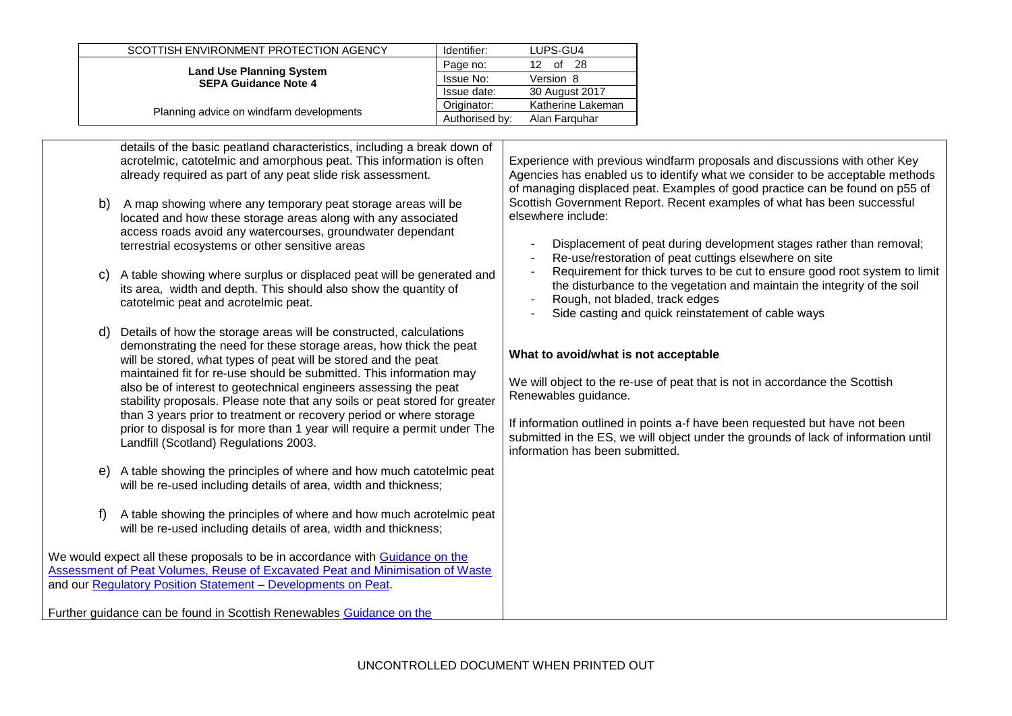| SCOTTISH ENVIRONMENT PROTECTION AGENCY                         | Identifier:    | LUPS-GU4          |
|----------------------------------------------------------------|----------------|-------------------|
| <b>Land Use Planning System</b><br><b>SEPA Guidance Note 4</b> | Page no:       | -28<br>of<br>12   |
|                                                                | Issue No:      | Version 8         |
|                                                                | Issue date:    | 30 August 2017    |
|                                                                | Originator:    | Katherine Lakeman |
| Planning advice on windfarm developments                       | Authorised by: | Alan Farguhar     |

details of the basic peatland characteristics, including a break down of acrotelmic, catotelmic and amorphous peat. This information is often already required as part of any peat slide risk assessment. b) A map showing where any temporary peat storage areas will be located and how these storage areas along with any associated access roads avoid any watercourses, groundwater dependant terrestrial ecosystems or other sensitive areas c) A table showing where surplus or displaced peat will be generated and its area, width and depth. This should also show the quantity of catotelmic peat and acrotelmic peat. Details of how the storage areas will be constructed, calculations demonstrating the need for these storage areas, how thick the peat will be stored, what types of peat will be stored and the peat maintained fit for re-use should be submitted. This information may also be of interest to geotechnical engineers assessing the peat stability proposals. Please note that any soils or peat stored for greater than 3 years prior to treatment or recovery period or where storage prior to disposal is for more than 1 year will require a permit under The Landfill (Scotland) Regulations 2003. e) A table showing the principles of where and how much catotelmic peat will be re-used including details of area, width and thickness; f) A table showing the principles of where and how much acrotelmic peat will be re-used including details of area, width and thickness; We would expect all these proposals to be in accordance with [Guidance on the](http://www.scottishrenewables.com/publications/guidance-assessment-peat-volumes-reuse-excavated/)  [Assessment of Peat Volumes, Reuse of Excavated Peat and Minimisation of Waste](http://www.scottishrenewables.com/publications/guidance-assessment-peat-volumes-reuse-excavated/) and our [Regulatory Position Statement –](http://www.sepa.org.uk/planning/idoc.ashx?docid=0999acc5-4c77-4e75-a6fc-0bf582e6d115&version=-1) Developments on Peat. Further guidance can be found in Scottish Renewables [Guidance on the](http://www.scottishrenewables.com/publications/guidance-assessment-peat-volumes-reuse-excavated/)  Experience with previous windfarm proposals and discussions with other Key Agencies has enabled us to identify what we consider to be acceptable methods of managing displaced peat. Examples of good practice can be found on p55 of Scottish Government Report. Recent examples of what has been successful elsewhere include: Displacement of peat during development stages rather than removal; Re-use/restoration of peat cuttings elsewhere on site Requirement for thick turves to be cut to ensure good root system to limit the disturbance to the vegetation and maintain the integrity of the soil Rough, not bladed, track edges Side casting and quick reinstatement of cable ways **What to avoid/what is not acceptable** We will object to the re-use of peat that is not in accordance the Scottish Renewables guidance. If information outlined in points a-f have been requested but have not been submitted in the ES, we will object under the grounds of lack of information until information has been submitted.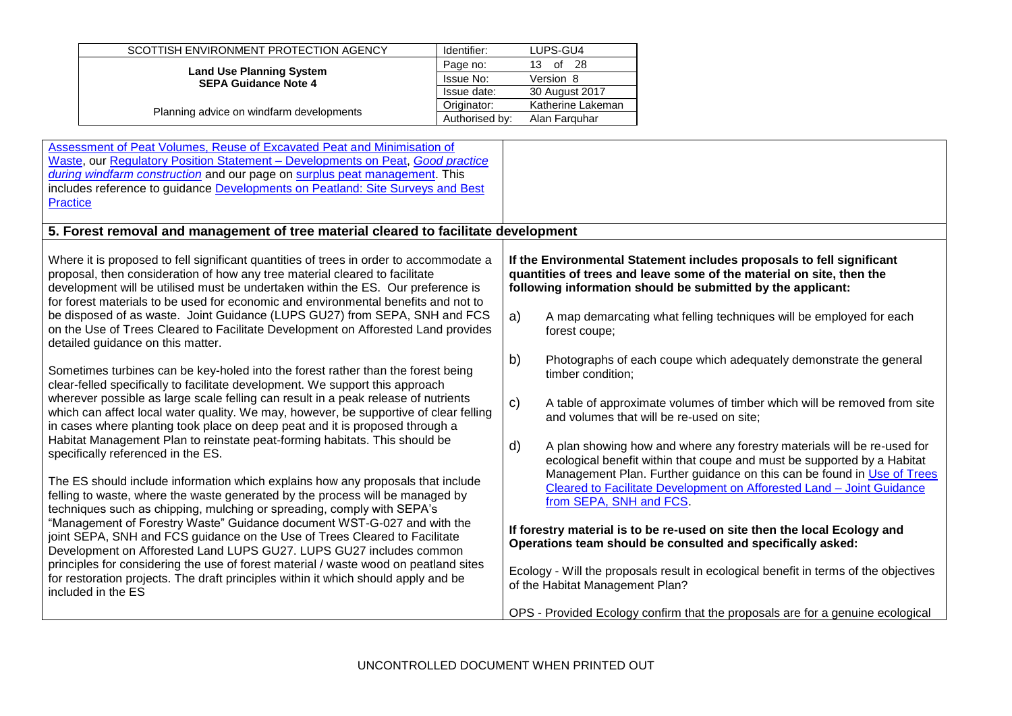| SCOTTISH ENVIRONMENT PROTECTION AGENCY                         | Identifier:    | LUPS-GU4          |
|----------------------------------------------------------------|----------------|-------------------|
| <b>Land Use Planning System</b><br><b>SEPA Guidance Note 4</b> | Page no:       | -28<br>13<br>οf   |
|                                                                | Issue No:      | Version 8         |
|                                                                | Issue date:    | 30 August 2017    |
| Planning advice on windfarm developments                       | Originator:    | Katherine Lakeman |
|                                                                | Authorised by: | Alan Farguhar     |

| Assessment of Peat Volumes, Reuse of Excavated Peat and Minimisation of<br>Waste, our Regulatory Position Statement - Developments on Peat, Good practice<br>during windfarm construction and our page on surplus peat management. This<br>includes reference to guidance Developments on Peatland: Site Surveys and Best<br><b>Practice</b>                                                                                                                                                                       |                                                                                                                                                                                                                                                                                           |
|--------------------------------------------------------------------------------------------------------------------------------------------------------------------------------------------------------------------------------------------------------------------------------------------------------------------------------------------------------------------------------------------------------------------------------------------------------------------------------------------------------------------|-------------------------------------------------------------------------------------------------------------------------------------------------------------------------------------------------------------------------------------------------------------------------------------------|
| 5. Forest removal and management of tree material cleared to facilitate development                                                                                                                                                                                                                                                                                                                                                                                                                                |                                                                                                                                                                                                                                                                                           |
| Where it is proposed to fell significant quantities of trees in order to accommodate a<br>proposal, then consideration of how any tree material cleared to facilitate<br>development will be utilised must be undertaken within the ES. Our preference is<br>for forest materials to be used for economic and environmental benefits and not to<br>be disposed of as waste. Joint Guidance (LUPS GU27) from SEPA, SNH and FCS<br>on the Use of Trees Cleared to Facilitate Development on Afforested Land provides | If the Environmental Statement includes proposals to fell significant<br>quantities of trees and leave some of the material on site, then the<br>following information should be submitted by the applicant:<br>a)<br>A map demarcating what felling techniques will be employed for each |
| detailed guidance on this matter.                                                                                                                                                                                                                                                                                                                                                                                                                                                                                  | forest coupe;<br>b)<br>Photographs of each coupe which adequately demonstrate the general                                                                                                                                                                                                 |
| Sometimes turbines can be key-holed into the forest rather than the forest being<br>clear-felled specifically to facilitate development. We support this approach<br>wherever possible as large scale felling can result in a peak release of nutrients<br>which can affect local water quality. We may, however, be supportive of clear felling<br>in cases where planting took place on deep peat and it is proposed through a                                                                                   | timber condition;<br>$\mathbf{C}$<br>A table of approximate volumes of timber which will be removed from site<br>and volumes that will be re-used on site;                                                                                                                                |
| Habitat Management Plan to reinstate peat-forming habitats. This should be<br>specifically referenced in the ES.                                                                                                                                                                                                                                                                                                                                                                                                   | d)<br>A plan showing how and where any forestry materials will be re-used for<br>ecological benefit within that coupe and must be supported by a Habitat                                                                                                                                  |
| The ES should include information which explains how any proposals that include<br>felling to waste, where the waste generated by the process will be managed by<br>techniques such as chipping, mulching or spreading, comply with SEPA's                                                                                                                                                                                                                                                                         | Management Plan. Further guidance on this can be found in Use of Trees<br>Cleared to Facilitate Development on Afforested Land - Joint Guidance<br>from SEPA, SNH and FCS.                                                                                                                |
| "Management of Forestry Waste" Guidance document WST-G-027 and with the<br>joint SEPA, SNH and FCS guidance on the Use of Trees Cleared to Facilitate<br>Development on Afforested Land LUPS GU27. LUPS GU27 includes common                                                                                                                                                                                                                                                                                       | If forestry material is to be re-used on site then the local Ecology and<br>Operations team should be consulted and specifically asked:                                                                                                                                                   |
| principles for considering the use of forest material / waste wood on peatland sites<br>for restoration projects. The draft principles within it which should apply and be<br>included in the ES                                                                                                                                                                                                                                                                                                                   | Ecology - Will the proposals result in ecological benefit in terms of the objectives<br>of the Habitat Management Plan?                                                                                                                                                                   |
|                                                                                                                                                                                                                                                                                                                                                                                                                                                                                                                    | OPS - Provided Ecology confirm that the proposals are for a genuine ecological                                                                                                                                                                                                            |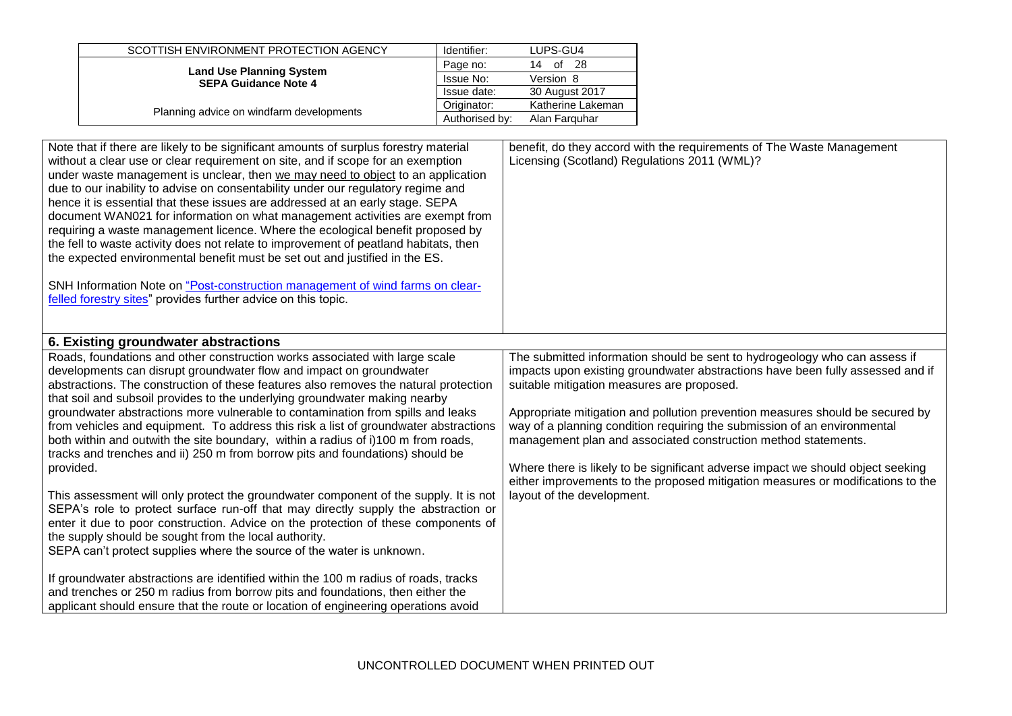| SCOTTISH ENVIRONMENT PROTECTION AGENCY                         | Identifier:    | LUPS-GU4          |
|----------------------------------------------------------------|----------------|-------------------|
| <b>Land Use Planning System</b><br><b>SEPA Guidance Note 4</b> | Page no:       | -28<br>of<br>14   |
|                                                                | Issue No:      | Version 8         |
|                                                                | Issue date:    | 30 August 2017    |
| Planning advice on windfarm developments                       | Originator:    | Katherine Lakeman |
|                                                                | Authorised by: | Alan Farguhar     |

| Note that if there are likely to be significant amounts of surplus forestry material<br>without a clear use or clear requirement on site, and if scope for an exemption<br>under waste management is unclear, then we may need to object to an application<br>due to our inability to advise on consentability under our regulatory regime and<br>hence it is essential that these issues are addressed at an early stage. SEPA<br>document WAN021 for information on what management activities are exempt from<br>requiring a waste management licence. Where the ecological benefit proposed by<br>the fell to waste activity does not relate to improvement of peatland habitats, then<br>the expected environmental benefit must be set out and justified in the ES.<br>SNH Information Note on "Post-construction management of wind farms on clear-<br>felled forestry sites" provides further advice on this topic.                                                                                                                                                                                                                                                                                                                                                                                                                                 | benefit, do they accord with the requirements of The Waste Management<br>Licensing (Scotland) Regulations 2011 (WML)?                                                                                                                                                                                                                                                                                                                                                                                                                                                                                                                         |
|-------------------------------------------------------------------------------------------------------------------------------------------------------------------------------------------------------------------------------------------------------------------------------------------------------------------------------------------------------------------------------------------------------------------------------------------------------------------------------------------------------------------------------------------------------------------------------------------------------------------------------------------------------------------------------------------------------------------------------------------------------------------------------------------------------------------------------------------------------------------------------------------------------------------------------------------------------------------------------------------------------------------------------------------------------------------------------------------------------------------------------------------------------------------------------------------------------------------------------------------------------------------------------------------------------------------------------------------------------------|-----------------------------------------------------------------------------------------------------------------------------------------------------------------------------------------------------------------------------------------------------------------------------------------------------------------------------------------------------------------------------------------------------------------------------------------------------------------------------------------------------------------------------------------------------------------------------------------------------------------------------------------------|
| 6. Existing groundwater abstractions                                                                                                                                                                                                                                                                                                                                                                                                                                                                                                                                                                                                                                                                                                                                                                                                                                                                                                                                                                                                                                                                                                                                                                                                                                                                                                                        |                                                                                                                                                                                                                                                                                                                                                                                                                                                                                                                                                                                                                                               |
| Roads, foundations and other construction works associated with large scale<br>developments can disrupt groundwater flow and impact on groundwater<br>abstractions. The construction of these features also removes the natural protection<br>that soil and subsoil provides to the underlying groundwater making nearby<br>groundwater abstractions more vulnerable to contamination from spills and leaks<br>from vehicles and equipment. To address this risk a list of groundwater abstractions<br>both within and outwith the site boundary, within a radius of i)100 m from roads,<br>tracks and trenches and ii) 250 m from borrow pits and foundations) should be<br>provided.<br>This assessment will only protect the groundwater component of the supply. It is not<br>SEPA's role to protect surface run-off that may directly supply the abstraction or<br>enter it due to poor construction. Advice on the protection of these components of<br>the supply should be sought from the local authority.<br>SEPA can't protect supplies where the source of the water is unknown.<br>If groundwater abstractions are identified within the 100 m radius of roads, tracks<br>and trenches or 250 m radius from borrow pits and foundations, then either the<br>applicant should ensure that the route or location of engineering operations avoid | The submitted information should be sent to hydrogeology who can assess if<br>impacts upon existing groundwater abstractions have been fully assessed and if<br>suitable mitigation measures are proposed.<br>Appropriate mitigation and pollution prevention measures should be secured by<br>way of a planning condition requiring the submission of an environmental<br>management plan and associated construction method statements.<br>Where there is likely to be significant adverse impact we should object seeking<br>either improvements to the proposed mitigation measures or modifications to the<br>layout of the development. |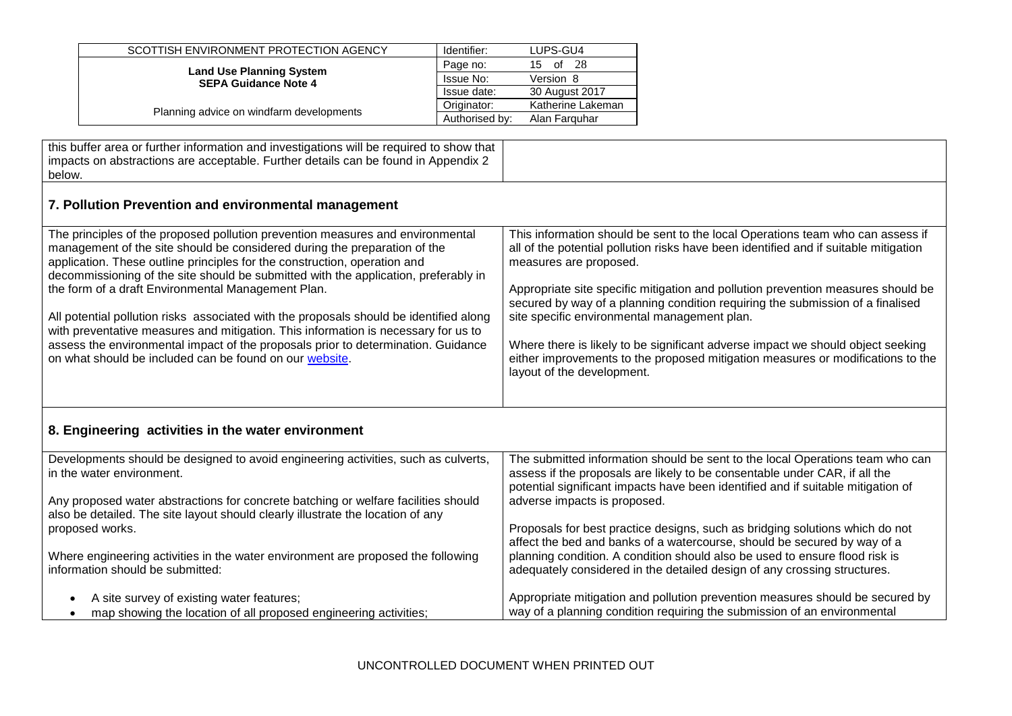| SCOTTISH ENVIRONMENT PROTECTION AGENCY                         | Identifier:    | LUPS-GU4          |
|----------------------------------------------------------------|----------------|-------------------|
| <b>Land Use Planning System</b><br><b>SEPA Guidance Note 4</b> | Page no:       | -28<br>15<br>of   |
|                                                                | Issue No:      | Version 8         |
|                                                                | Issue date:    | 30 August 2017    |
| Planning advice on windfarm developments                       | Originator:    | Katherine Lakeman |
|                                                                | Authorised by: | Alan Farguhar     |

this buffer area or further information and investigations will be required to show that impacts on abstractions are acceptable. Further details can be found in Appendix 2 below.

# **7. Pollution Prevention and environmental management**

| The principles of the proposed pollution prevention measures and environmental         | This information should be sent to the local Operations team who can assess if       |
|----------------------------------------------------------------------------------------|--------------------------------------------------------------------------------------|
| management of the site should be considered during the preparation of the              | all of the potential pollution risks have been identified and if suitable mitigation |
| application. These outline principles for the construction, operation and              | measures are proposed.                                                               |
| decommissioning of the site should be submitted with the application, preferably in    |                                                                                      |
| the form of a draft Environmental Management Plan.                                     | Appropriate site specific mitigation and pollution prevention measures should be     |
|                                                                                        | secured by way of a planning condition requiring the submission of a finalised       |
| All potential pollution risks associated with the proposals should be identified along | site specific environmental management plan.                                         |
| with preventative measures and mitigation. This information is necessary for us to     |                                                                                      |
| assess the environmental impact of the proposals prior to determination. Guidance      | Where there is likely to be significant adverse impact we should object seeking      |
| on what should be included can be found on our website.                                | either improvements to the proposed mitigation measures or modifications to the      |
|                                                                                        | layout of the development.                                                           |
|                                                                                        |                                                                                      |
|                                                                                        |                                                                                      |

# **8. Engineering activities in the water environment**

| Developments should be designed to avoid engineering activities, such as culverts,<br>in the water environment.                                                       | The submitted information should be sent to the local Operations team who can<br>assess if the proposals are likely to be consentable under CAR, if all the<br>potential significant impacts have been identified and if suitable mitigation of |
|-----------------------------------------------------------------------------------------------------------------------------------------------------------------------|-------------------------------------------------------------------------------------------------------------------------------------------------------------------------------------------------------------------------------------------------|
| Any proposed water abstractions for concrete batching or welfare facilities should<br>also be detailed. The site layout should clearly illustrate the location of any | adverse impacts is proposed.                                                                                                                                                                                                                    |
| proposed works.                                                                                                                                                       | Proposals for best practice designs, such as bridging solutions which do not<br>affect the bed and banks of a watercourse, should be secured by way of a                                                                                        |
| Where engineering activities in the water environment are proposed the following<br>information should be submitted:                                                  | planning condition. A condition should also be used to ensure flood risk is<br>adequately considered in the detailed design of any crossing structures.                                                                                         |
| A site survey of existing water features;<br>map showing the location of all proposed engineering activities;                                                         | Appropriate mitigation and pollution prevention measures should be secured by<br>way of a planning condition requiring the submission of an environmental                                                                                       |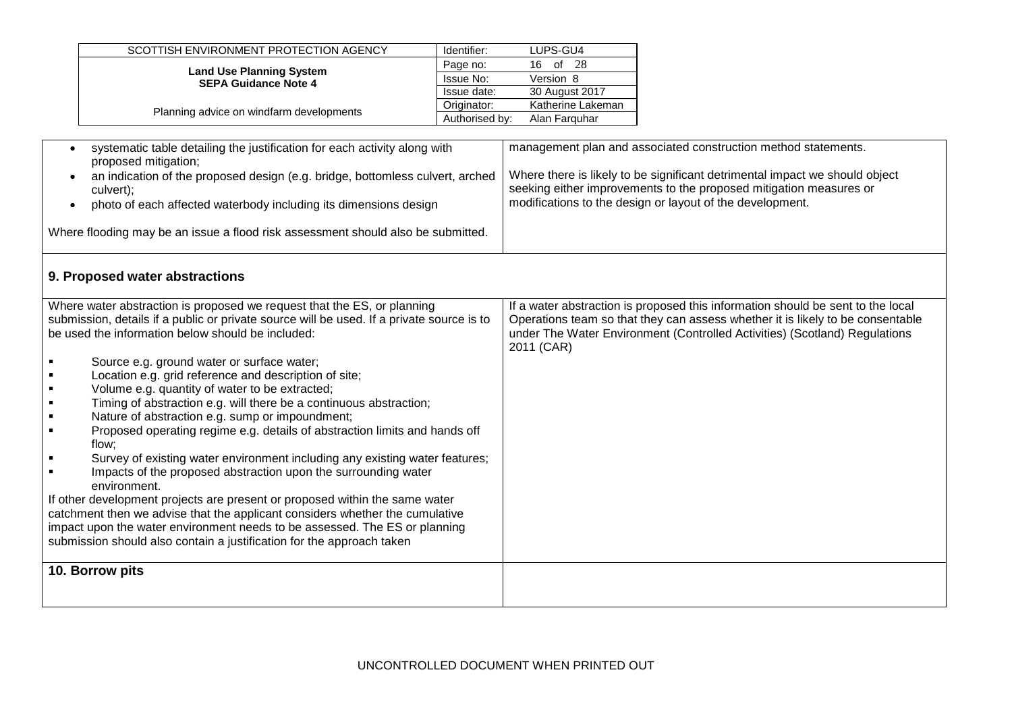| SCOTTISH ENVIRONMENT PROTECTION AGENCY                         | Identifier:    | LUPS-GU4          |
|----------------------------------------------------------------|----------------|-------------------|
| <b>Land Use Planning System</b><br><b>SEPA Guidance Note 4</b> | Page no:       | 16 of 28          |
|                                                                | Issue No:      | Version 8         |
|                                                                | Issue date:    | 30 August 2017    |
|                                                                | Originator:    | Katherine Lakeman |
| Planning advice on windfarm developments                       | Authorised by: | Alan Farguhar     |

| systematic table detailing the justification for each activity along with<br>proposed mitigation;<br>an indication of the proposed design (e.g. bridge, bottomless culvert, arched<br>culvert);<br>photo of each affected waterbody including its dimensions design                                                                                                                                                                                                                                                                                                                                                                                                                                                                                                                                                                                                                                                                                                                                                                                                                                                                                                         | management plan and associated construction method statements.<br>Where there is likely to be significant detrimental impact we should object<br>seeking either improvements to the proposed mitigation measures or<br>modifications to the design or layout of the development. |
|-----------------------------------------------------------------------------------------------------------------------------------------------------------------------------------------------------------------------------------------------------------------------------------------------------------------------------------------------------------------------------------------------------------------------------------------------------------------------------------------------------------------------------------------------------------------------------------------------------------------------------------------------------------------------------------------------------------------------------------------------------------------------------------------------------------------------------------------------------------------------------------------------------------------------------------------------------------------------------------------------------------------------------------------------------------------------------------------------------------------------------------------------------------------------------|----------------------------------------------------------------------------------------------------------------------------------------------------------------------------------------------------------------------------------------------------------------------------------|
| Where flooding may be an issue a flood risk assessment should also be submitted.                                                                                                                                                                                                                                                                                                                                                                                                                                                                                                                                                                                                                                                                                                                                                                                                                                                                                                                                                                                                                                                                                            |                                                                                                                                                                                                                                                                                  |
| 9. Proposed water abstractions                                                                                                                                                                                                                                                                                                                                                                                                                                                                                                                                                                                                                                                                                                                                                                                                                                                                                                                                                                                                                                                                                                                                              |                                                                                                                                                                                                                                                                                  |
| Where water abstraction is proposed we request that the ES, or planning<br>submission, details if a public or private source will be used. If a private source is to<br>be used the information below should be included:<br>Source e.g. ground water or surface water;<br>٠<br>Location e.g. grid reference and description of site;<br>$\blacksquare$<br>Volume e.g. quantity of water to be extracted;<br>$\blacksquare$<br>Timing of abstraction e.g. will there be a continuous abstraction;<br>Nature of abstraction e.g. sump or impoundment;<br>$\blacksquare$<br>Proposed operating regime e.g. details of abstraction limits and hands off<br>٠<br>flow;<br>Survey of existing water environment including any existing water features;<br>$\blacksquare$<br>Impacts of the proposed abstraction upon the surrounding water<br>environment.<br>If other development projects are present or proposed within the same water<br>catchment then we advise that the applicant considers whether the cumulative<br>impact upon the water environment needs to be assessed. The ES or planning<br>submission should also contain a justification for the approach taken | If a water abstraction is proposed this information should be sent to the local<br>Operations team so that they can assess whether it is likely to be consentable<br>under The Water Environment (Controlled Activities) (Scotland) Regulations<br>2011 (CAR)                    |
| 10. Borrow pits                                                                                                                                                                                                                                                                                                                                                                                                                                                                                                                                                                                                                                                                                                                                                                                                                                                                                                                                                                                                                                                                                                                                                             |                                                                                                                                                                                                                                                                                  |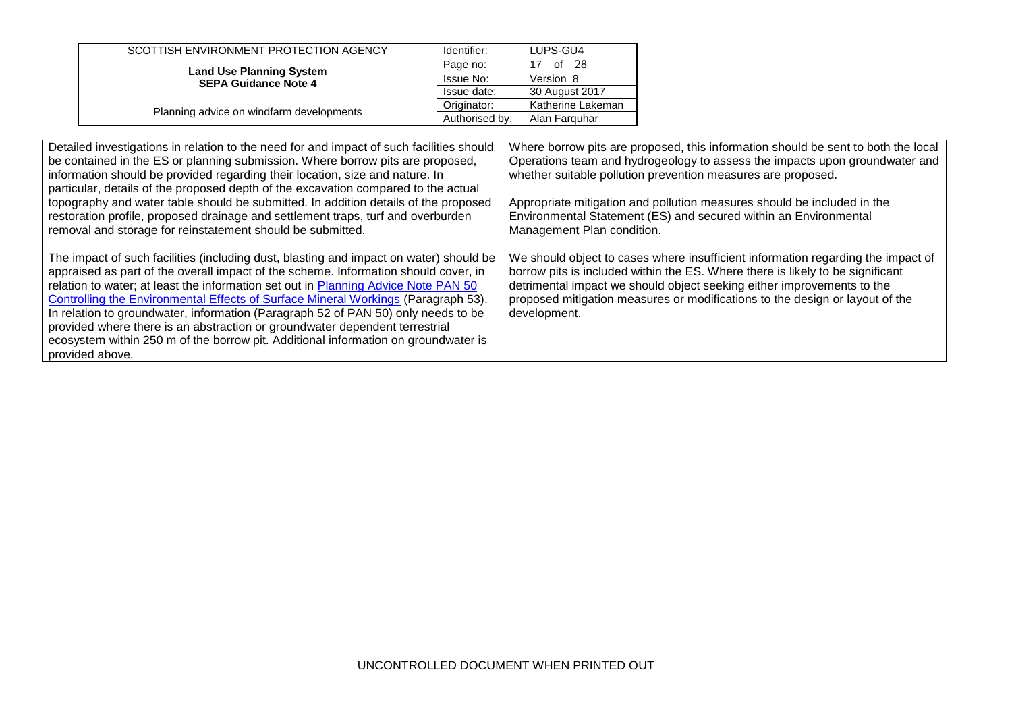| SCOTTISH ENVIRONMENT PROTECTION AGENCY                         | Identifier:    | LUPS-GU4          |
|----------------------------------------------------------------|----------------|-------------------|
| <b>Land Use Planning System</b><br><b>SEPA Guidance Note 4</b> | Page no:       | -28<br>0f         |
|                                                                | Issue No:      | Version 8         |
|                                                                | Issue date:    | 30 August 2017    |
| Planning advice on windfarm developments                       | Originator:    | Katherine Lakeman |
|                                                                | Authorised by: | Alan Farguhar     |

| Detailed investigations in relation to the need for and impact of such facilities should<br>be contained in the ES or planning submission. Where borrow pits are proposed,<br>information should be provided regarding their location, size and nature. In<br>particular, details of the proposed depth of the excavation compared to the actual                                                                                                                                                                                                                                                                                      | Where borrow pits are proposed, this information should be sent to both the local<br>Operations team and hydrogeology to assess the impacts upon groundwater and<br>whether suitable pollution prevention measures are proposed.                                                                                                             |
|---------------------------------------------------------------------------------------------------------------------------------------------------------------------------------------------------------------------------------------------------------------------------------------------------------------------------------------------------------------------------------------------------------------------------------------------------------------------------------------------------------------------------------------------------------------------------------------------------------------------------------------|----------------------------------------------------------------------------------------------------------------------------------------------------------------------------------------------------------------------------------------------------------------------------------------------------------------------------------------------|
| topography and water table should be submitted. In addition details of the proposed<br>restoration profile, proposed drainage and settlement traps, turf and overburden<br>removal and storage for reinstatement should be submitted.                                                                                                                                                                                                                                                                                                                                                                                                 | Appropriate mitigation and pollution measures should be included in the<br>Environmental Statement (ES) and secured within an Environmental<br>Management Plan condition.                                                                                                                                                                    |
| The impact of such facilities (including dust, blasting and impact on water) should be<br>appraised as part of the overall impact of the scheme. Information should cover, in<br>relation to water; at least the information set out in Planning Advice Note PAN 50<br>Controlling the Environmental Effects of Surface Mineral Workings (Paragraph 53).<br>In relation to groundwater, information (Paragraph 52 of PAN 50) only needs to be<br>provided where there is an abstraction or groundwater dependent terrestrial<br>ecosystem within 250 m of the borrow pit. Additional information on groundwater is<br>provided above. | We should object to cases where insufficient information regarding the impact of<br>borrow pits is included within the ES. Where there is likely to be significant<br>detrimental impact we should object seeking either improvements to the<br>proposed mitigation measures or modifications to the design or layout of the<br>development. |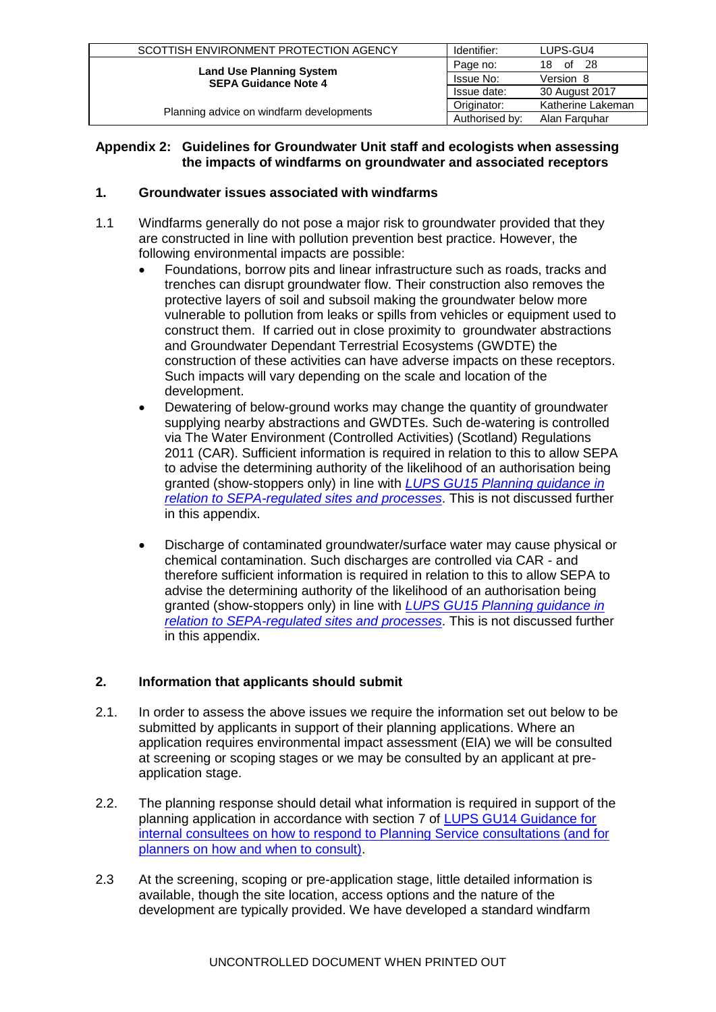| SCOTTISH ENVIRONMENT PROTECTION AGENCY                         | Identifier:    | LUPS-GU4          |
|----------------------------------------------------------------|----------------|-------------------|
|                                                                | Page no:       | 18 of 28          |
| <b>Land Use Planning System</b><br><b>SEPA Guidance Note 4</b> | Issue No:      | Version 8         |
|                                                                | Issue date:    | 30 August 2017    |
|                                                                | Originator:    | Katherine Lakeman |
| Planning advice on windfarm developments                       | Authorised by: | Alan Farguhar     |

### **Appendix 2: Guidelines for Groundwater Unit staff and ecologists when assessing the impacts of windfarms on groundwater and associated receptors**

### **1. Groundwater issues associated with windfarms**

- 1.1 Windfarms generally do not pose a major risk to groundwater provided that they are constructed in line with pollution prevention best practice. However, the following environmental impacts are possible:
	- Foundations, borrow pits and linear infrastructure such as roads, tracks and trenches can disrupt groundwater flow. Their construction also removes the protective layers of soil and subsoil making the groundwater below more vulnerable to pollution from leaks or spills from vehicles or equipment used to construct them. If carried out in close proximity to groundwater abstractions and Groundwater Dependant Terrestrial Ecosystems (GWDTE) the construction of these activities can have adverse impacts on these receptors. Such impacts will vary depending on the scale and location of the development.
	- Dewatering of below-ground works may change the quantity of groundwater supplying nearby abstractions and GWDTEs. Such de-watering is controlled via The Water Environment (Controlled Activities) (Scotland) Regulations 2011 (CAR). Sufficient information is required in relation to this to allow SEPA to advise the determining authority of the likelihood of an authorisation being granted (show-stoppers only) in line with *[LUPS GU15 Planning guidance in](http://www.sepa.org.uk/idoc.ashx?docid=246cf3f6-4bc0-4de2-bd36-8f3b83b05160&version=-1)  [relation to SEPA-regulated sites and processes](http://www.sepa.org.uk/idoc.ashx?docid=246cf3f6-4bc0-4de2-bd36-8f3b83b05160&version=-1)*. This is not discussed further in this appendix.
	- Discharge of contaminated groundwater/surface water may cause physical or chemical contamination. Such discharges are controlled via CAR - and therefore sufficient information is required in relation to this to allow SEPA to advise the determining authority of the likelihood of an authorisation being granted (show-stoppers only) in line with *[LUPS GU15 Planning guidance in](http://www.sepa.org.uk/idoc.ashx?docid=246cf3f6-4bc0-4de2-bd36-8f3b83b05160&version=-1)  [relation to SEPA-regulated sites and processes](http://www.sepa.org.uk/idoc.ashx?docid=246cf3f6-4bc0-4de2-bd36-8f3b83b05160&version=-1)*. This is not discussed further in this appendix.

# **2. Information that applicants should submit**

- 2.1. In order to assess the above issues we require the information set out below to be submitted by applicants in support of their planning applications. Where an application requires environmental impact assessment (EIA) we will be consulted at screening or scoping stages or we may be consulted by an applicant at preapplication stage.
- 2.2. The planning response should detail what information is required in support of the planning application in accordance with section 7 of [LUPS GU14 Guidance for](http://www.sepa.org.uk/planning/idoc.ashx?docid=b6cda95c-ba5c-4081-9b83-d6a05c24da95&version=-1)  [internal consultees on how to respond to Planning Service consultations \(and for](http://www.sepa.org.uk/planning/idoc.ashx?docid=b6cda95c-ba5c-4081-9b83-d6a05c24da95&version=-1)  [planners on how and when to consult\).](http://www.sepa.org.uk/planning/idoc.ashx?docid=b6cda95c-ba5c-4081-9b83-d6a05c24da95&version=-1)
- 2.3 At the screening, scoping or pre-application stage, little detailed information is available, though the site location, access options and the nature of the development are typically provided. We have developed a standard windfarm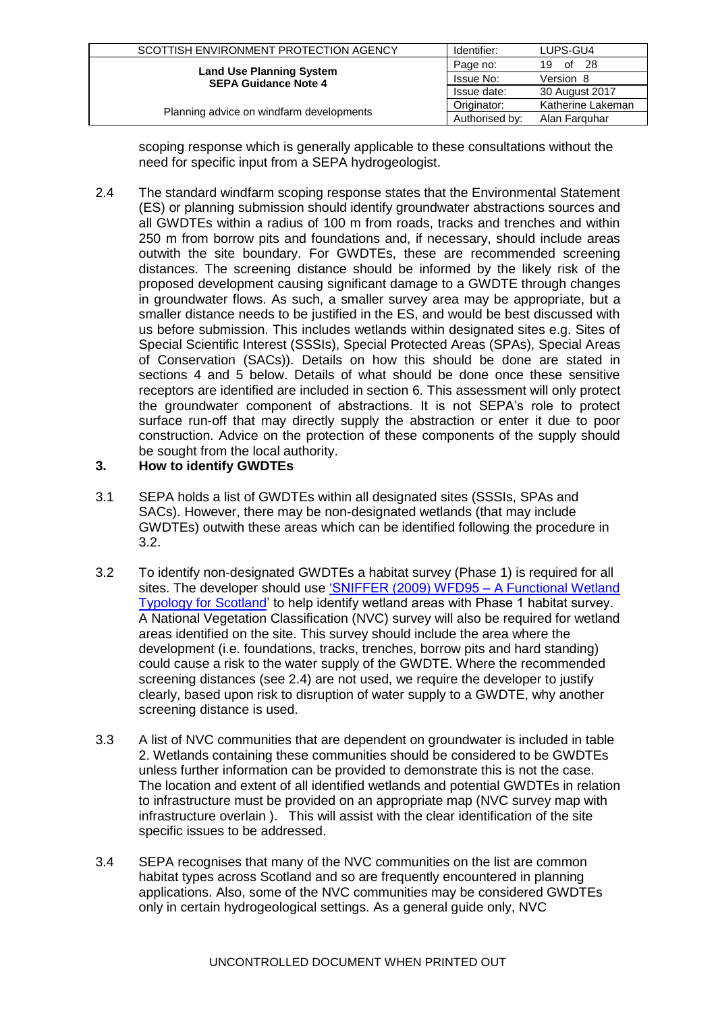| SCOTTISH ENVIRONMENT PROTECTION AGENCY                         | Identifier:    | LUPS-GU4          |
|----------------------------------------------------------------|----------------|-------------------|
|                                                                | Page no:       | -28<br>19 of      |
| <b>Land Use Planning System</b><br><b>SEPA Guidance Note 4</b> | Issue No:      | Version 8         |
|                                                                | Issue date:    | 30 August 2017    |
|                                                                | Originator:    | Katherine Lakeman |
| Planning advice on windfarm developments                       | Authorised by: | Alan Farguhar     |

scoping response which is generally applicable to these consultations without the need for specific input from a SEPA hydrogeologist.

2.4 The standard windfarm scoping response states that the Environmental Statement (ES) or planning submission should identify groundwater abstractions sources and all GWDTEs within a radius of 100 m from roads, tracks and trenches and within 250 m from borrow pits and foundations and, if necessary, should include areas outwith the site boundary. For GWDTEs, these are recommended screening distances. The screening distance should be informed by the likely risk of the proposed development causing significant damage to a GWDTE through changes in groundwater flows. As such, a smaller survey area may be appropriate, but a smaller distance needs to be justified in the ES, and would be best discussed with us before submission. This includes wetlands within designated sites e.g. Sites of Special Scientific Interest (SSSIs), Special Protected Areas (SPAs), Special Areas of Conservation (SACs)). Details on how this should be done are stated in sections 4 and 5 below. Details of what should be done once these sensitive receptors are identified are included in section 6. This assessment will only protect the groundwater component of abstractions. It is not SEPA's role to protect surface run-off that may directly supply the abstraction or enter it due to poor construction. Advice on the protection of these components of the supply should be sought from the local authority.

### **3. How to identify GWDTEs**

- 3.1 SEPA holds a list of GWDTEs within all designated sites (SSSIs, SPAs and SACs). However, there may be non-designated wetlands (that may include GWDTEs) outwith these areas which can be identified following the procedure in 3.2.
- 3.2 To identify non-designated GWDTEs a habitat survey (Phase 1) is required for all sites. The developer should use ['SNIFFER \(2009\) WFD95 –](http://www.sepa.org.uk/science_and_research/what_we_do/biodiversity/wetlands.aspx) A Functional Wetland [Typology for Scotland'](http://www.sepa.org.uk/science_and_research/what_we_do/biodiversity/wetlands.aspx) to help identify wetland areas with Phase 1 habitat survey. A National Vegetation Classification (NVC) survey will also be required for wetland areas identified on the site. This survey should include the area where the development (i.e. foundations, tracks, trenches, borrow pits and hard standing) could cause a risk to the water supply of the GWDTE. Where the recommended screening distances (see 2.4) are not used, we require the developer to justify clearly, based upon risk to disruption of water supply to a GWDTE, why another screening distance is used.
- 3.3 A list of NVC communities that are dependent on groundwater is included in table 2. Wetlands containing these communities should be considered to be GWDTEs unless further information can be provided to demonstrate this is not the case. The location and extent of all identified wetlands and potential GWDTEs in relation to infrastructure must be provided on an appropriate map (NVC survey map with infrastructure overlain ). This will assist with the clear identification of the site specific issues to be addressed.
- 3.4 SEPA recognises that many of the NVC communities on the list are common habitat types across Scotland and so are frequently encountered in planning applications. Also, some of the NVC communities may be considered GWDTEs only in certain hydrogeological settings. As a general guide only, NVC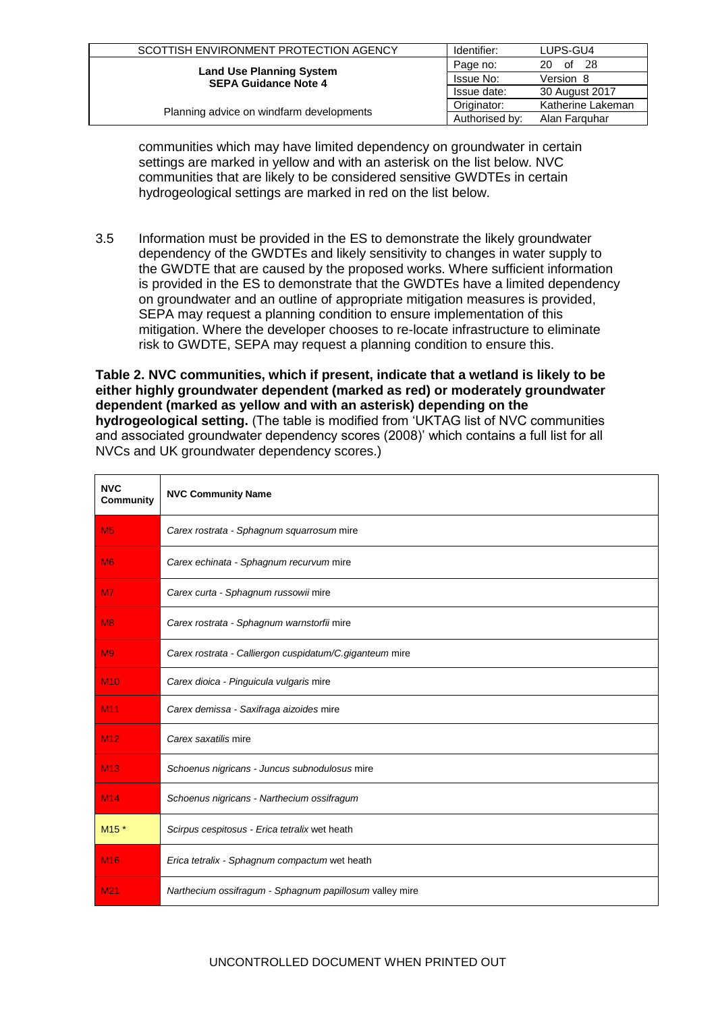| SCOTTISH ENVIRONMENT PROTECTION AGENCY                         | Identifier:    | LUPS-GU4          |
|----------------------------------------------------------------|----------------|-------------------|
|                                                                | Page no:       | of 28<br>20.      |
| <b>Land Use Planning System</b><br><b>SEPA Guidance Note 4</b> | Issue No:      | Version 8         |
|                                                                | Issue date:    | 30 August 2017    |
|                                                                | Originator:    | Katherine Lakeman |
| Planning advice on windfarm developments                       | Authorised by: | Alan Farguhar     |

communities which may have limited dependency on groundwater in certain settings are marked in yellow and with an asterisk on the list below. NVC communities that are likely to be considered sensitive GWDTEs in certain hydrogeological settings are marked in red on the list below.

3.5 Information must be provided in the ES to demonstrate the likely groundwater dependency of the GWDTEs and likely sensitivity to changes in water supply to the GWDTE that are caused by the proposed works. Where sufficient information is provided in the ES to demonstrate that the GWDTEs have a limited dependency on groundwater and an outline of appropriate mitigation measures is provided, SEPA may request a planning condition to ensure implementation of this mitigation. Where the developer chooses to re-locate infrastructure to eliminate risk to GWDTE, SEPA may request a planning condition to ensure this.

**Table 2. NVC communities, which if present, indicate that a wetland is likely to be either highly groundwater dependent (marked as red) or moderately groundwater dependent (marked as yellow and with an asterisk) depending on the hydrogeological setting.** (The table is modified from 'UKTAG list of NVC communities and associated groundwater dependency scores (2008)' which contains a full list for all NVCs and UK groundwater dependency scores.)

| <b>NVC</b><br>Community | <b>NVC Community Name</b>                               |
|-------------------------|---------------------------------------------------------|
| M <sub>5</sub>          | Carex rostrata - Sphagnum squarrosum mire               |
| M <sub>6</sub>          | Carex echinata - Sphagnum recurvum mire                 |
| M7                      | Carex curta - Sphagnum russowii mire                    |
| M8                      | Carex rostrata - Sphagnum warnstorfii mire              |
| M <sub>9</sub>          | Carex rostrata - Calliergon cuspidatum/C.giganteum mire |
| <b>M10</b>              | Carex dioica - Pinguicula vulgaris mire                 |
| M <sub>11</sub>         | Carex demissa - Saxifraga aizoides mire                 |
| M <sub>12</sub>         | Carex saxatilis mire                                    |
| <b>M13</b>              | Schoenus nigricans - Juncus subnodulosus mire           |
| M14                     | Schoenus nigricans - Narthecium ossifragum              |
| M <sub>15</sub> *       | Scirpus cespitosus - Erica tetralix wet heath           |
| <b>M16</b>              | Erica tetralix - Sphagnum compactum wet heath           |
| M <sub>21</sub>         | Narthecium ossifragum - Sphagnum papillosum valley mire |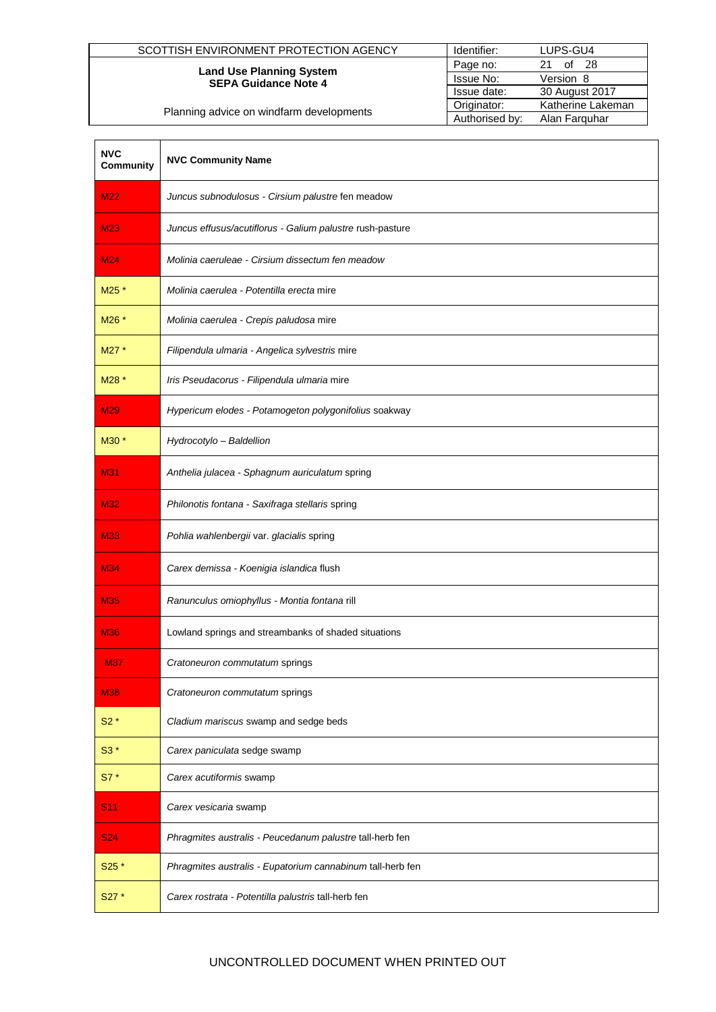| SCOTTISH ENVIRONMENT PROTECTION AGENCY                         | Identifier:    | LUPS-GU4          |
|----------------------------------------------------------------|----------------|-------------------|
| <b>Land Use Planning System</b><br><b>SEPA Guidance Note 4</b> | Page no:       | of $28$<br>21     |
|                                                                | Issue No:      | Version 8         |
|                                                                | Issue date:    | 30 August 2017    |
| Planning advice on windfarm developments                       | Originator:    | Katherine Lakeman |
|                                                                | Authorised by: | Alan Farguhar     |

| <b>NVC</b><br><b>Community</b> | <b>NVC Community Name</b>                                  |
|--------------------------------|------------------------------------------------------------|
| <b>M22</b>                     | Juncus subnodulosus - Cirsium palustre fen meadow          |
| <b>M23</b>                     | Juncus effusus/acutiflorus - Galium palustre rush-pasture  |
| M24                            | Molinia caeruleae - Cirsium dissectum fen meadow           |
| M25 *                          | Molinia caerulea - Potentilla erecta mire                  |
| M26 *                          | Molinia caerulea - Crepis paludosa mire                    |
| M27 *                          | Filipendula ulmaria - Angelica sylvestris mire             |
| M28 *                          | Iris Pseudacorus - Filipendula ulmaria mire                |
| M <sub>29</sub>                | Hypericum elodes - Potamogeton polygonifolius soakway      |
| M30 *                          | Hydrocotylo - Baldellion                                   |
| <b>M31</b>                     | Anthelia julacea - Sphagnum auriculatum spring             |
| <b>M32</b>                     | Philonotis fontana - Saxifraga stellaris spring            |
| <b>M33</b>                     | Pohlia wahlenbergii var. glacialis spring                  |
| M34                            | Carex demissa - Koenigia islandica flush                   |
| <b>M35</b>                     | Ranunculus omiophyllus - Montia fontana rill               |
| <b>M36</b>                     | Lowland springs and streambanks of shaded situations       |
| <b>M37</b>                     | Cratoneuron commutatum springs                             |
| <b>M38</b>                     | Cratoneuron commutatum springs                             |
| $S2*$                          | Cladium mariscus swamp and sedge beds                      |
| $S3*$                          | Carex paniculata sedge swamp                               |
| $S7*$                          | Carex acutiformis swamp                                    |
| <b>S11</b>                     | Carex vesicaria swamp                                      |
| <b>S24</b>                     | Phragmites australis - Peucedanum palustre tall-herb fen   |
| $S25*$                         | Phragmites australis - Eupatorium cannabinum tall-herb fen |
| S27 *                          | Carex rostrata - Potentilla palustris tall-herb fen        |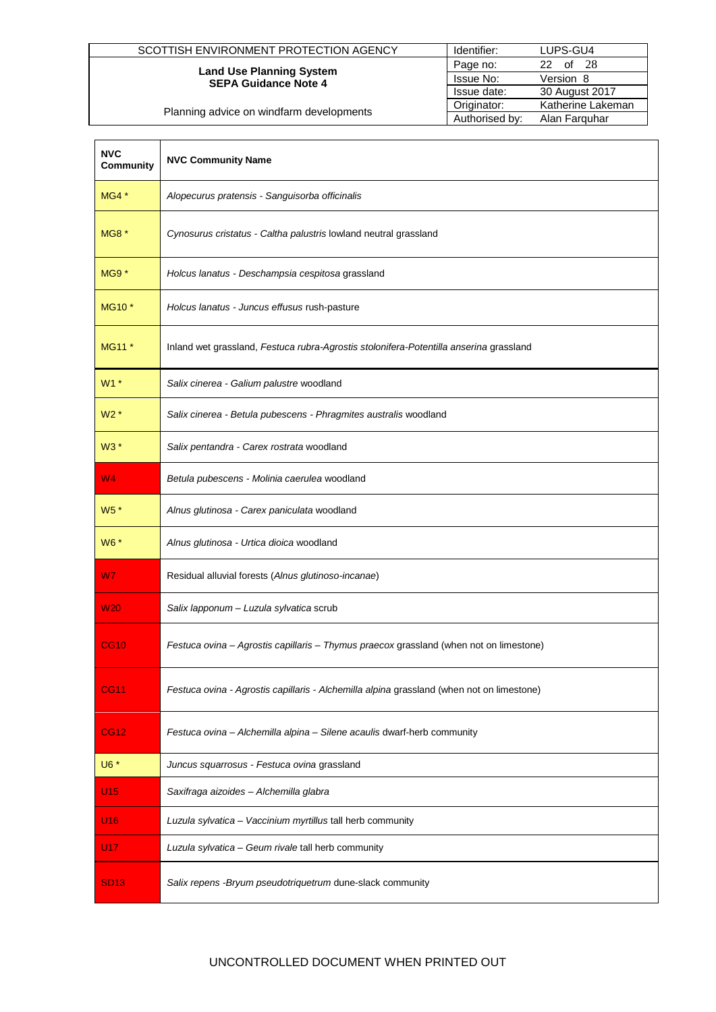| SCOTTISH ENVIRONMENT PROTECTION AGENCY   | Identifier:    | LUPS-GU4          |
|------------------------------------------|----------------|-------------------|
| <b>Land Use Planning System</b>          | Page no:       | of 28<br>22.      |
| <b>SEPA Guidance Note 4</b>              | Issue No:      | Version 8         |
|                                          | Issue date:    | 30 August 2017    |
| Planning advice on windfarm developments | Originator:    | Katherine Lakeman |
|                                          | Authorised by: | Alan Farguhar     |

| <b>NVC</b><br><b>Community</b> | <b>NVC Community Name</b>                                                                 |
|--------------------------------|-------------------------------------------------------------------------------------------|
| $MG4*$                         | Alopecurus pratensis - Sanguisorba officinalis                                            |
| <b>MG8</b> *                   | Cynosurus cristatus - Caltha palustris lowland neutral grassland                          |
| $MG9*$                         | Holcus lanatus - Deschampsia cespitosa grassland                                          |
| MG10 <sup>*</sup>              | Holcus lanatus - Juncus effusus rush-pasture                                              |
| MG11 *                         | Inland wet grassland, Festuca rubra-Agrostis stolonifera-Potentilla anserina grassland    |
| $W1*$                          | Salix cinerea - Galium palustre woodland                                                  |
| $W2*$                          | Salix cinerea - Betula pubescens - Phragmites australis woodland                          |
| W3 *                           | Salix pentandra - Carex rostrata woodland                                                 |
| W <sub>4</sub>                 | Betula pubescens - Molinia caerulea woodland                                              |
| $W5*$                          | Alnus glutinosa - Carex paniculata woodland                                               |
| W6 *                           | Alnus glutinosa - Urtica dioica woodland                                                  |
| W7                             | Residual alluvial forests (Alnus glutinoso-incanae)                                       |
| <b>W20</b>                     | Salix lapponum - Luzula sylvatica scrub                                                   |
| <b>CG10</b>                    | Festuca ovina - Agrostis capillaris - Thymus praecox grassland (when not on limestone)    |
| <b>CG11</b>                    | Festuca ovina - Agrostis capillaris - Alchemilla alpina grassland (when not on limestone) |
| <b>CG12</b>                    | Festuca ovina - Alchemilla alpina - Silene acaulis dwarf-herb community                   |
| U6 *                           | Juncus squarrosus - Festuca ovina grassland                                               |
| U15                            | Saxifraga aizoides - Alchemilla glabra                                                    |
| U <sub>16</sub>                | Luzula sylvatica - Vaccinium myrtillus tall herb community                                |
| <u>U17</u>                     | Luzula sylvatica - Geum rivale tall herb community                                        |
| <b>SD13</b>                    | Salix repens - Bryum pseudotriquetrum dune-slack community                                |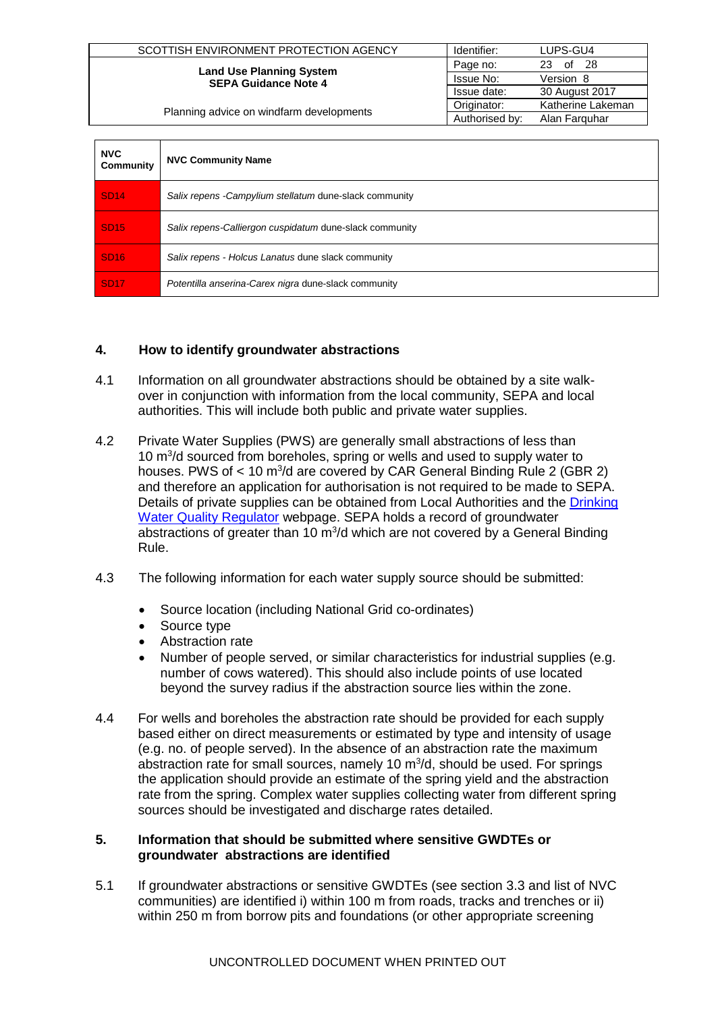| SCOTTISH ENVIRONMENT PROTECTION AGENCY                         | Identifier:    | LUPS-GU4          |
|----------------------------------------------------------------|----------------|-------------------|
| <b>Land Use Planning System</b><br><b>SEPA Guidance Note 4</b> | Page no:       | of $28$<br>23     |
|                                                                | Issue No:      | Version 8         |
|                                                                | Issue date:    | 30 August 2017    |
| Planning advice on windfarm developments                       | Originator:    | Katherine Lakeman |
|                                                                | Authorised by: | Alan Farguhar     |

| <b>NVC</b><br>Community | <b>NVC Community Name</b>                               |
|-------------------------|---------------------------------------------------------|
| <b>SD14</b>             | Salix repens - Campylium stellatum dune-slack community |
| <b>SD15</b>             | Salix repens-Calliergon cuspidatum dune-slack community |
| <b>SD16</b>             | Salix repens - Holcus Lanatus dune slack community      |
| <b>SD17</b>             | Potentilla anserina-Carex nigra dune-slack community    |

### **4. How to identify groundwater abstractions**

- 4.1 Information on all groundwater abstractions should be obtained by a site walkover in conjunction with information from the local community, SEPA and local authorities. This will include both public and private water supplies.
- 4.2 Private Water Supplies (PWS) are generally small abstractions of less than 10 m<sup>3</sup>/d sourced from boreholes, spring or wells and used to supply water to houses. PWS of  $< 10 \text{ m}^3$ /d are covered by CAR General Binding Rule 2 (GBR 2) and therefore an application for authorisation is not required to be made to SEPA. Details of private supplies can be obtained from Local Authorities and the [Drinking](http://dwqr.scot/private-supply/information-for-pws-owners-and-users/pws-location-map/)  [Water Quality Regulator](http://dwqr.scot/private-supply/information-for-pws-owners-and-users/pws-location-map/) webpage. SEPA holds a record of groundwater abstractions of greater than 10  $m^3/d$  which are not covered by a General Binding Rule.
- 4.3 The following information for each water supply source should be submitted:
	- Source location (including National Grid co-ordinates)
	- Source type
	- Abstraction rate
	- Number of people served, or similar characteristics for industrial supplies (e.g. number of cows watered). This should also include points of use located beyond the survey radius if the abstraction source lies within the zone.
- 4.4 For wells and boreholes the abstraction rate should be provided for each supply based either on direct measurements or estimated by type and intensity of usage (e.g. no. of people served). In the absence of an abstraction rate the maximum abstraction rate for small sources, namely 10  $m^3/d$ , should be used. For springs the application should provide an estimate of the spring yield and the abstraction rate from the spring. Complex water supplies collecting water from different spring sources should be investigated and discharge rates detailed.

### **5. Information that should be submitted where sensitive GWDTEs or groundwater abstractions are identified**

5.1 If groundwater abstractions or sensitive GWDTEs (see section 3.3 and list of NVC communities) are identified i) within 100 m from roads, tracks and trenches or ii) within 250 m from borrow pits and foundations (or other appropriate screening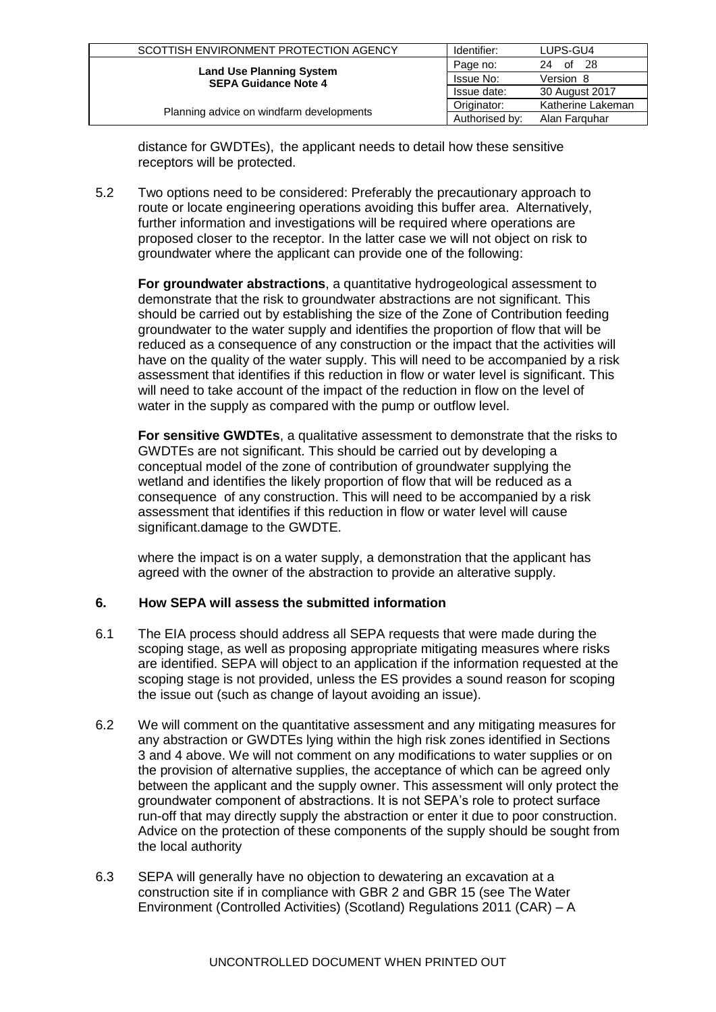| SCOTTISH ENVIRONMENT PROTECTION AGENCY   | Identifier:    | LUPS-GU4          |  |  |
|------------------------------------------|----------------|-------------------|--|--|
| <b>Land Use Planning System</b>          | Page no:       | 24 of 28          |  |  |
| <b>SEPA Guidance Note 4</b>              | Issue No:      | Version 8         |  |  |
|                                          | Issue date:    | 30 August 2017    |  |  |
|                                          | Originator:    | Katherine Lakeman |  |  |
| Planning advice on windfarm developments | Authorised by: | Alan Farguhar     |  |  |

distance for GWDTEs), the applicant needs to detail how these sensitive receptors will be protected.

5.2 Two options need to be considered: Preferably the precautionary approach to route or locate engineering operations avoiding this buffer area. Alternatively, further information and investigations will be required where operations are proposed closer to the receptor. In the latter case we will not object on risk to groundwater where the applicant can provide one of the following:

**For groundwater abstractions**, a quantitative hydrogeological assessment to demonstrate that the risk to groundwater abstractions are not significant. This should be carried out by establishing the size of the Zone of Contribution feeding groundwater to the water supply and identifies the proportion of flow that will be reduced as a consequence of any construction or the impact that the activities will have on the quality of the water supply. This will need to be accompanied by a risk assessment that identifies if this reduction in flow or water level is significant. This will need to take account of the impact of the reduction in flow on the level of water in the supply as compared with the pump or outflow level.

**For sensitive GWDTEs**, a qualitative assessment to demonstrate that the risks to GWDTEs are not significant. This should be carried out by developing a conceptual model of the zone of contribution of groundwater supplying the wetland and identifies the likely proportion of flow that will be reduced as a consequence of any construction. This will need to be accompanied by a risk assessment that identifies if this reduction in flow or water level will cause significant.damage to the GWDTE.

where the impact is on a water supply, a demonstration that the applicant has agreed with the owner of the abstraction to provide an alterative supply.

### **6. How SEPA will assess the submitted information**

- 6.1 The EIA process should address all SEPA requests that were made during the scoping stage, as well as proposing appropriate mitigating measures where risks are identified. SEPA will object to an application if the information requested at the scoping stage is not provided, unless the ES provides a sound reason for scoping the issue out (such as change of layout avoiding an issue).
- 6.2 We will comment on the quantitative assessment and any mitigating measures for any abstraction or GWDTEs lying within the high risk zones identified in Sections 3 and 4 above. We will not comment on any modifications to water supplies or on the provision of alternative supplies, the acceptance of which can be agreed only between the applicant and the supply owner. This assessment will only protect the groundwater component of abstractions. It is not SEPA's role to protect surface run-off that may directly supply the abstraction or enter it due to poor construction. Advice on the protection of these components of the supply should be sought from the local authority
- 6.3 SEPA will generally have no objection to dewatering an excavation at a construction site if in compliance with GBR 2 and GBR 15 (see The Water Environment (Controlled Activities) (Scotland) Regulations 2011 (CAR) – A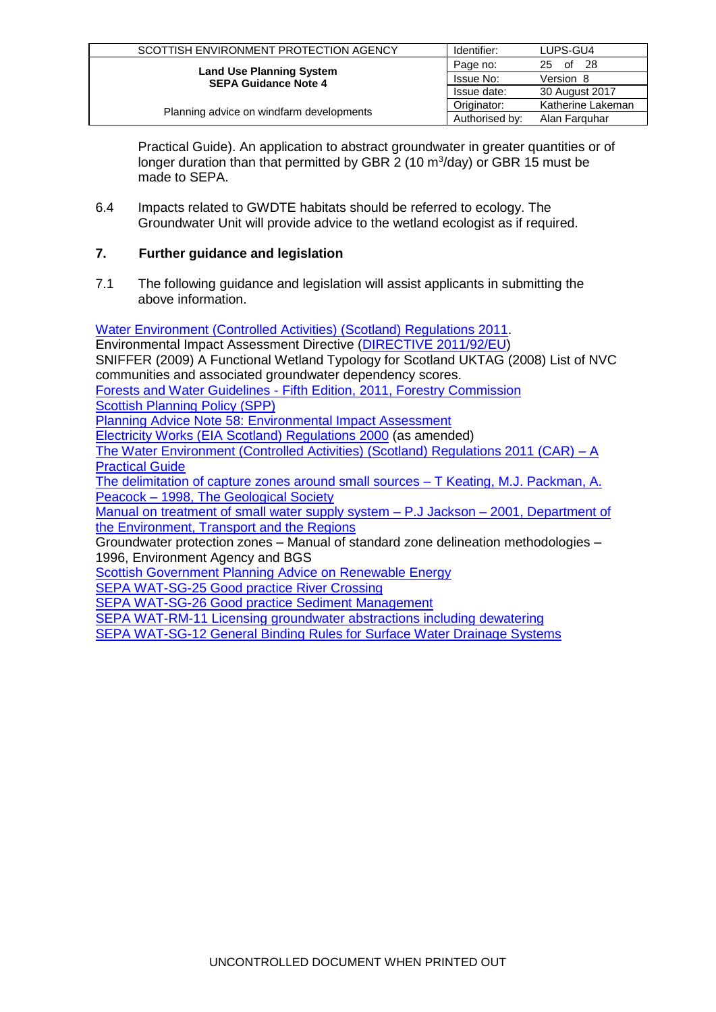| SCOTTISH ENVIRONMENT PROTECTION AGENCY   | Identifier:    | LUPS-GU4          |  |  |
|------------------------------------------|----------------|-------------------|--|--|
| <b>Land Use Planning System</b>          | Page no:       | 25 of 28          |  |  |
| <b>SEPA Guidance Note 4</b>              | Issue No:      | Version 8         |  |  |
|                                          | Issue date:    | 30 August 2017    |  |  |
|                                          | Originator:    | Katherine Lakeman |  |  |
| Planning advice on windfarm developments | Authorised by: | Alan Farguhar     |  |  |

Practical Guide). An application to abstract groundwater in greater quantities or of longer duration than that permitted by GBR 2 (10 m<sup>3</sup>/day) or GBR 15 must be made to SEPA.

6.4 Impacts related to GWDTE habitats should be referred to ecology. The Groundwater Unit will provide advice to the wetland ecologist as if required.

### **7. Further guidance and legislation**

7.1 The following guidance and legislation will assist applicants in submitting the above information.

[Water Environment \(Controlled Activities\) \(Scotland\) Regulations 2011.](http://www.legislation.gov.uk/ssi/2011/209/contents/made) Environmental Impact Assessment Directive [\(DIRECTIVE 2011/92/EU\)](http://eur-lex.europa.eu/LexUriServ/LexUriServ.do?uri=OJ:L:2012:026:0001:0021:EN:PDF) [SNIFFER \(2009\) A Functional Wetland Typology for Scotland](http://www.sniffer.org.uk/Resources/WFD95/Layout_Default/0.aspx?backurl=http%3A%2F%2Fwww.sniffer.org.uk%3A80%2Fproject-search-results.aspx%3Fsearchterm%3Dwfd95&selectedtab=completed) UKTAG (2008) List of NVC communities and associated groundwater dependency scores. Forests and Water Guidelines - [Fifth Edition, 2011, Forestry Commission](http://www.forestry.gov.uk/PDF/FCGL007.pdf/$FILE/FCGL007.pdf) [Scottish Planning Policy \(SPP\)](http://www.scotland.gov.uk/Topics/Built-Environment/planning/National-Planning-Policy/newSPP) [Planning Advice Note 58: Environmental Impact Assessment](http://www.scotland.gov.uk/Publications/1999/10/pan58-root/pan58) [Electricity Works \(EIA Scotland\) Regulations 2000](http://www.opsi.gov.uk/legislation/scotland/ssi2000/20000320.htm) (as amended) [The Water Environment \(Controlled Activities\) \(Scotland\) Regulations 2011 \(CAR\) –](http://www.sepa.org.uk/water/water_regulation.aspx) A [Practical Guide](http://www.sepa.org.uk/water/water_regulation.aspx) The delimitation of capture zones around small sources - T Keating, M.J. Packman, A. Peacock – [1998, The Geological Society](http://egsp.lyellcollection.org/cgi/content/abstract/14/1/85) [Manual on treatment of small water supply system –](http://www.dwi.gov.uk/research/completed-research/reports/DWI70_2_137_manual.pdf) P.J Jackson – 2001, Department of [the Environment, Transport and the Regions](http://www.dwi.gov.uk/research/completed-research/reports/DWI70_2_137_manual.pdf) Groundwater protection zones – Manual of standard zone delineation methodologies – 1996, Environment Agency and BGS [Scottish Government Planning Advice on Renewable Energy](http://www.scotland.gov.uk/Topics/Built-Environment/planning/National-Planning-Policy/themes/renewables) [SEPA WAT-SG-25 Good practice River Crossing](http://www.sepa.org.uk/water/water_regulation/guidance/engineering.aspx)

[SEPA WAT-SG-26 Good practice Sediment Management](http://www.sepa.org.uk/water/water_regulation/guidance/engineering.aspx)

[SEPA WAT-RM-11 Licensing groundwater abstractions including dewatering](http://www.sepa.org.uk/water/water_regulation/guidance/abstraction_and_impoundment.aspx)

[SEPA WAT-SG-12 General Binding Rules for Surface Water Drainage Systems](http://www.sepa.org.uk/water/water_regulation/guidance/pollution_control.aspx)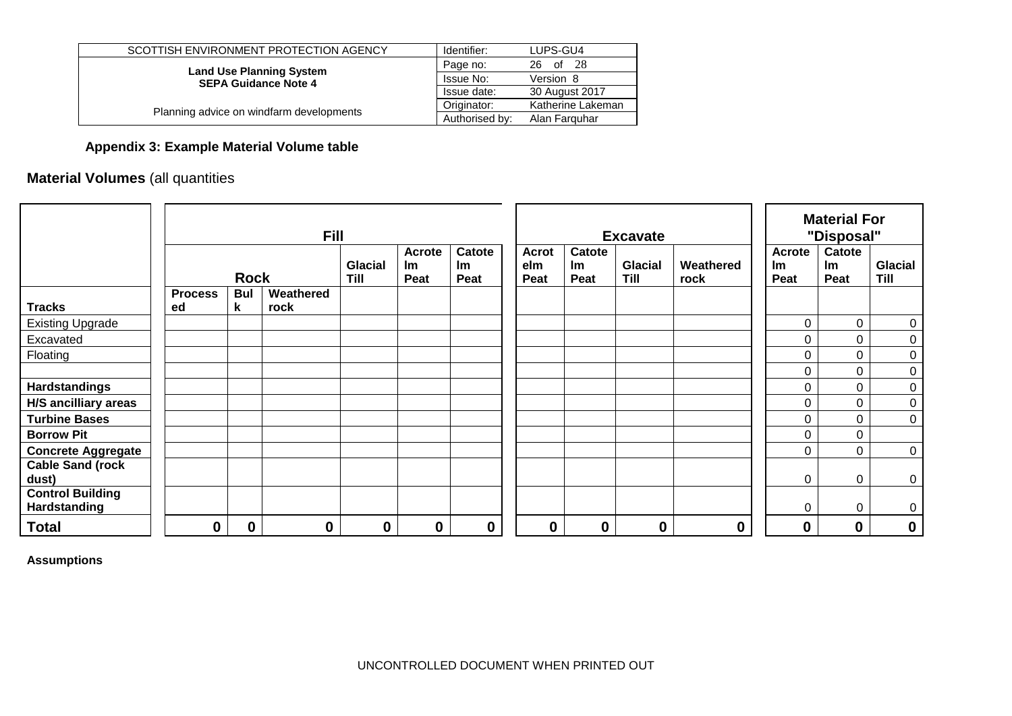| SCOTTISH ENVIRONMENT PROTECTION AGENCY   | Identifier:    | LUPS-GU4          |
|------------------------------------------|----------------|-------------------|
| <b>Land Use Planning System</b>          | Page no:       | -28<br>of<br>26   |
| <b>SEPA Guidance Note 4</b>              | Issue No:      | Version 8         |
|                                          | Issue date:    | 30 August 2017    |
|                                          | Originator:    | Katherine Lakeman |
| Planning advice on windfarm developments | Authorised by: | Alan Farguhar     |

# **Appendix 3: Example Material Volume table**

# **Material Volumes** (all quantities

|                                         |                      |                 | <b>Fill</b>       |                        |                                    |                      |                             |                             | <b>Excavate</b>        | <b>Material For</b><br>"Disposal" |                                    |                      |                        |  |  |
|-----------------------------------------|----------------------|-----------------|-------------------|------------------------|------------------------------------|----------------------|-----------------------------|-----------------------------|------------------------|-----------------------------------|------------------------------------|----------------------|------------------------|--|--|
|                                         |                      | <b>Rock</b>     |                   | <b>Glacial</b><br>Till | <b>Acrote</b><br><b>Im</b><br>Peat | Catote<br>Im<br>Peat | <b>Acrot</b><br>elm<br>Peat | Catote<br><b>Im</b><br>Peat | <b>Glacial</b><br>Till | Weathered<br>rock                 | <b>Acrote</b><br><b>Im</b><br>Peat | Catote<br>lm<br>Peat | <b>Glacial</b><br>Till |  |  |
| <b>Tracks</b>                           | <b>Process</b><br>ed | <b>Bul</b><br>k | Weathered<br>rock |                        |                                    |                      |                             |                             |                        |                                   |                                    |                      |                        |  |  |
| <b>Existing Upgrade</b>                 |                      |                 |                   |                        |                                    |                      |                             |                             |                        |                                   | 0                                  | $\mathbf 0$          | $\boldsymbol{0}$       |  |  |
| Excavated                               |                      |                 |                   |                        |                                    |                      |                             |                             |                        |                                   | 0                                  | 0                    | $\boldsymbol{0}$       |  |  |
| Floating                                |                      |                 |                   |                        |                                    |                      |                             |                             |                        |                                   | 0                                  | 0                    | $\mathbf 0$            |  |  |
|                                         |                      |                 |                   |                        |                                    |                      |                             |                             |                        |                                   | 0                                  | 0                    | $\mathbf 0$            |  |  |
| <b>Hardstandings</b>                    |                      |                 |                   |                        |                                    |                      |                             |                             |                        |                                   | 0                                  | 0                    | $\boldsymbol{0}$       |  |  |
| <b>H/S ancilliary areas</b>             |                      |                 |                   |                        |                                    |                      |                             |                             |                        |                                   | 0                                  | 0                    | $\boldsymbol{0}$       |  |  |
| <b>Turbine Bases</b>                    |                      |                 |                   |                        |                                    |                      |                             |                             |                        |                                   | 0                                  | 0                    | $\mathbf 0$            |  |  |
| <b>Borrow Pit</b>                       |                      |                 |                   |                        |                                    |                      |                             |                             |                        |                                   | 0                                  | 0                    |                        |  |  |
| <b>Concrete Aggregate</b>               |                      |                 |                   |                        |                                    |                      |                             |                             |                        |                                   | 0                                  | 0                    | $\mathbf 0$            |  |  |
| <b>Cable Sand (rock</b><br>dust)        |                      |                 |                   |                        |                                    |                      |                             |                             |                        |                                   | 0                                  | 0                    | $\mathbf 0$            |  |  |
| <b>Control Building</b><br>Hardstanding |                      |                 |                   |                        |                                    |                      |                             |                             |                        |                                   | 0                                  | 0                    | $\mathbf 0$            |  |  |
| <b>Total</b>                            | 0                    | 0               | 0                 | $\boldsymbol{0}$       | $\bf{0}$                           | $\boldsymbol{0}$     | 0                           | $\boldsymbol{0}$            | $\bf{0}$               | $\boldsymbol{0}$                  | 0                                  | $\bf{0}$             | $\mathbf 0$            |  |  |

**Assumptions**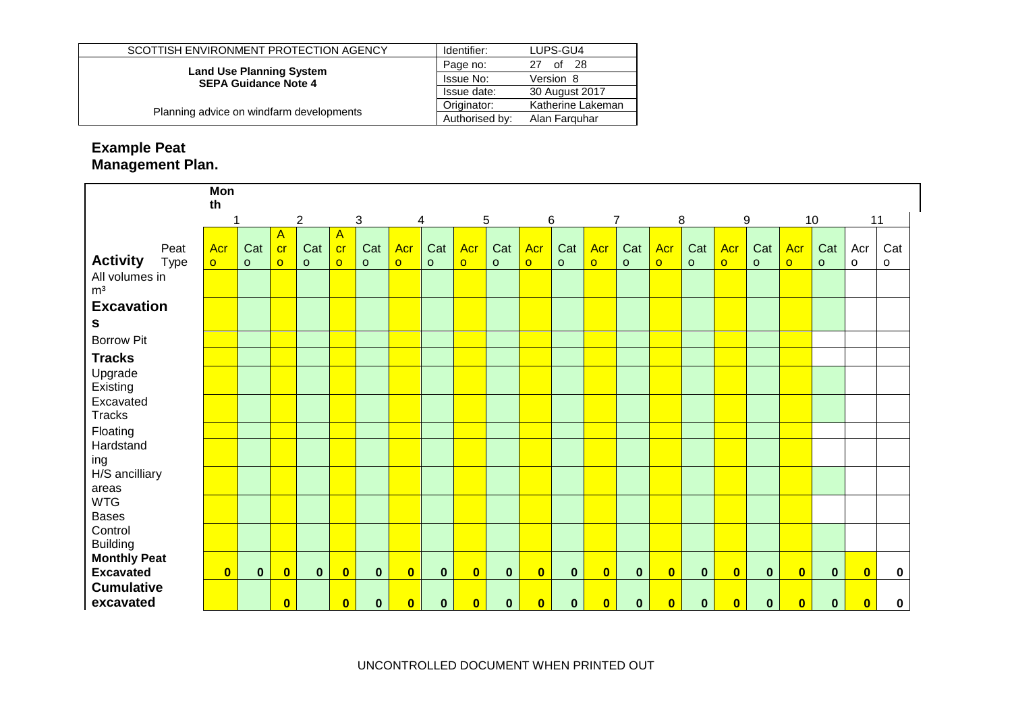| SCOTTISH ENVIRONMENT PROTECTION AGENCY   | Identifier:    | LUPS-GU4          |  |  |
|------------------------------------------|----------------|-------------------|--|--|
| <b>Land Use Planning System</b>          | Page no:       | -28<br>of<br>27   |  |  |
| <b>SEPA Guidance Note 4</b>              | Issue No:      | Version 8         |  |  |
|                                          | Issue date:    | 30 August 2017    |  |  |
|                                          | Originator:    | Katherine Lakeman |  |  |
| Planning advice on windfarm developments | Authorised by: | Alan Farguhar     |  |  |

# **Example Peat Management Plan.**

|                                  | Mon<br>th      |              |                         |                |                           |              |                         |              |                         |              |                         |              |                         |              |                         |              |                         |              |                         |              |                         |     |
|----------------------------------|----------------|--------------|-------------------------|----------------|---------------------------|--------------|-------------------------|--------------|-------------------------|--------------|-------------------------|--------------|-------------------------|--------------|-------------------------|--------------|-------------------------|--------------|-------------------------|--------------|-------------------------|-----|
|                                  | 1              |              |                         | $\overline{c}$ | $\ensuremath{\mathsf{3}}$ |              |                         | 4            |                         | 5            | 6                       |              | $\overline{7}$          |              | 8                       |              | 9                       |              |                         | 10           | 11                      |     |
|                                  |                |              | $\overline{A}$          |                | $\mathsf{A}$              |              |                         |              |                         |              |                         |              |                         |              |                         |              |                         |              |                         |              |                         |     |
| Peat                             | Acr            | Cat          | cr                      | Cat            | cr                        | Cat          | Acr                     | Cat          | Acr                     | Cat          | Acr                     | Cat          | Acr                     | Cat          | Acr                     | Cat          | Acr                     | Cat          | Acr                     | Cat          | Acr                     | Cat |
| <b>Activity</b><br><b>Type</b>   | $\overline{O}$ | $\mathsf{o}$ | $\circ$                 | $\circ$        | $\overline{O}$            | $\circ$      | $\overline{O}$          | $\circ$      | $\circ$                 | $\circ$      | $\overline{O}$          | $\circ$      | $\overline{O}$          | $\circ$      | $\overline{O}$          | $\circ$      | $\circ$                 | $\circ$      | $\overline{O}$          | $\circ$      | $\circ$                 | o   |
| All volumes in<br>m <sup>3</sup> |                |              |                         |                |                           |              |                         |              |                         |              |                         |              |                         |              |                         |              |                         |              |                         |              |                         |     |
| <b>Excavation</b>                |                |              |                         |                |                           |              |                         |              |                         |              |                         |              |                         |              |                         |              |                         |              |                         |              |                         |     |
| S                                |                |              |                         |                |                           |              |                         |              |                         |              |                         |              |                         |              |                         |              |                         |              |                         |              |                         |     |
| <b>Borrow Pit</b>                |                |              |                         |                |                           |              |                         |              |                         |              |                         |              |                         |              |                         |              |                         |              |                         |              |                         |     |
| <b>Tracks</b>                    |                |              |                         |                |                           |              |                         |              |                         |              |                         |              |                         |              |                         |              |                         |              |                         |              |                         |     |
| Upgrade<br>Existing              |                |              |                         |                |                           |              |                         |              |                         |              |                         |              |                         |              |                         |              |                         |              |                         |              |                         |     |
| Excavated                        |                |              |                         |                |                           |              |                         |              |                         |              |                         |              |                         |              |                         |              |                         |              |                         |              |                         |     |
| <b>Tracks</b>                    |                |              |                         |                |                           |              |                         |              |                         |              |                         |              |                         |              |                         |              |                         |              |                         |              |                         |     |
| Floating                         |                |              |                         |                |                           |              |                         |              |                         |              |                         |              |                         |              |                         |              |                         |              |                         |              |                         |     |
| Hardstand                        |                |              |                         |                |                           |              |                         |              |                         |              |                         |              |                         |              |                         |              |                         |              |                         |              |                         |     |
| ing                              |                |              |                         |                |                           |              |                         |              |                         |              |                         |              |                         |              |                         |              |                         |              |                         |              |                         |     |
| H/S ancilliary                   |                |              |                         |                |                           |              |                         |              |                         |              |                         |              |                         |              |                         |              |                         |              |                         |              |                         |     |
| areas<br><b>WTG</b>              |                |              |                         |                |                           |              |                         |              |                         |              |                         |              |                         |              |                         |              |                         |              |                         |              |                         |     |
| <b>Bases</b>                     |                |              |                         |                |                           |              |                         |              |                         |              |                         |              |                         |              |                         |              |                         |              |                         |              |                         |     |
| Control                          |                |              |                         |                |                           |              |                         |              |                         |              |                         |              |                         |              |                         |              |                         |              |                         |              |                         |     |
| <b>Building</b>                  |                |              |                         |                |                           |              |                         |              |                         |              |                         |              |                         |              |                         |              |                         |              |                         |              |                         |     |
| <b>Monthly Peat</b>              |                |              |                         |                |                           |              |                         |              |                         |              |                         |              |                         |              |                         |              |                         |              |                         |              |                         |     |
| <b>Excavated</b>                 | $\bullet$      | $\mathbf{0}$ | $\overline{\mathbf{0}}$ | $\mathbf{0}$   | $\overline{\mathbf{0}}$   | $\mathbf{0}$ | $\bullet$               | $\mathbf{0}$ | $\overline{\mathbf{0}}$ | $\mathbf{0}$ | $\overline{\mathbf{0}}$ | $\mathbf{0}$ | $\mathbf{0}$            | $\mathbf{0}$ | $\bullet$               | $\mathbf{0}$ | $\bullet$               | $\mathbf{0}$ | $\bullet$               | $\mathbf{0}$ | $\bullet$               | 0   |
| <b>Cumulative</b>                |                |              |                         |                |                           |              |                         |              |                         |              |                         |              |                         |              |                         |              |                         |              |                         |              |                         |     |
| excavated                        |                |              | $\overline{\mathbf{0}}$ |                | $\overline{\mathbf{0}}$   | $\mathbf{0}$ | $\overline{\mathbf{0}}$ | $\mathbf{0}$ | $\overline{\mathbf{0}}$ | $\mathbf{0}$ | $\overline{\mathbf{0}}$ | $\mathbf{0}$ | $\overline{\mathbf{0}}$ | $\mathbf 0$  | $\overline{\mathbf{0}}$ | $\mathbf{0}$ | $\overline{\mathbf{0}}$ | $\mathbf 0$  | $\overline{\mathbf{0}}$ | $\mathbf{0}$ | $\overline{\mathbf{0}}$ | 0   |